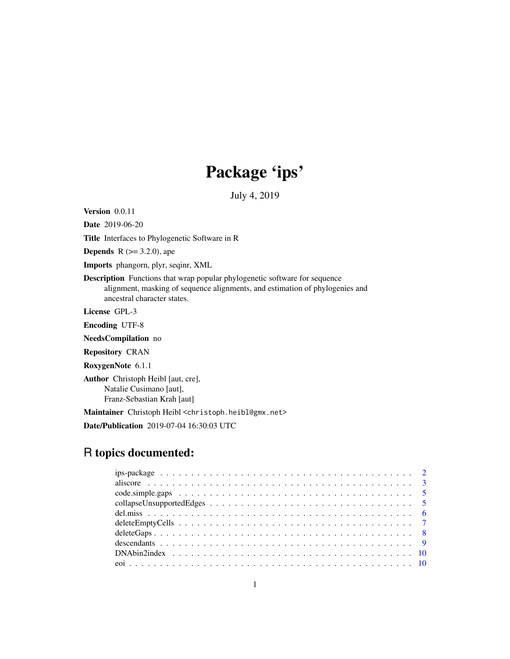# Package 'ips'

July 4, 2019

<span id="page-0-0"></span>Version 0.0.11

Date 2019-06-20

Title Interfaces to Phylogenetic Software in R

**Depends** R  $(>= 3.2.0)$ , ape

Imports phangorn, plyr, seqinr, XML

Description Functions that wrap popular phylogenetic software for sequence alignment, masking of sequence alignments, and estimation of phylogenies and ancestral character states.

License GPL-3

Encoding UTF-8

NeedsCompilation no

Repository CRAN

RoxygenNote 6.1.1

Author Christoph Heibl [aut, cre], Natalie Cusimano [aut], Franz-Sebastian Krah [aut]

Maintainer Christoph Heibl <christoph.heibl@gmx.net>

Date/Publication 2019-07-04 16:30:03 UTC

# R topics documented: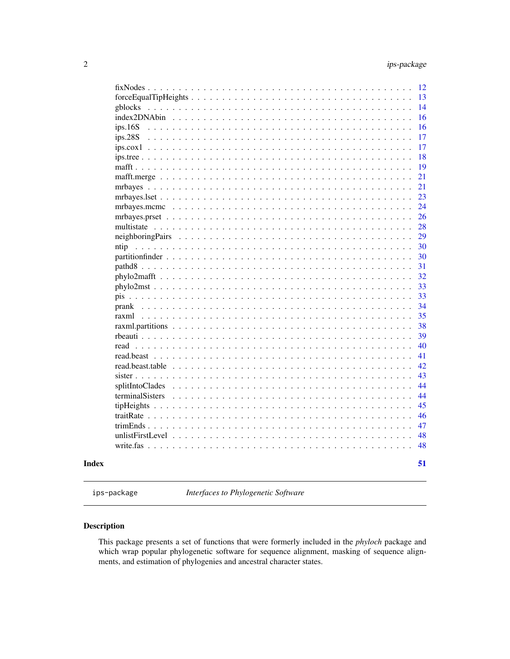<span id="page-1-0"></span>

|  | terminalSisters |  |  |  |  |  |  |  |  |  |  |  |  |  |  |
|--|-----------------|--|--|--|--|--|--|--|--|--|--|--|--|--|--|
|  | splitIntoClades |  |  |  |  |  |  |  |  |  |  |  |  |  |  |
|  |                 |  |  |  |  |  |  |  |  |  |  |  |  |  |  |
|  |                 |  |  |  |  |  |  |  |  |  |  |  |  |  |  |
|  | read            |  |  |  |  |  |  |  |  |  |  |  |  |  |  |
|  |                 |  |  |  |  |  |  |  |  |  |  |  |  |  |  |
|  | raxml           |  |  |  |  |  |  |  |  |  |  |  |  |  |  |
|  |                 |  |  |  |  |  |  |  |  |  |  |  |  |  |  |
|  |                 |  |  |  |  |  |  |  |  |  |  |  |  |  |  |
|  |                 |  |  |  |  |  |  |  |  |  |  |  |  |  |  |
|  |                 |  |  |  |  |  |  |  |  |  |  |  |  |  |  |
|  |                 |  |  |  |  |  |  |  |  |  |  |  |  |  |  |
|  | ntip            |  |  |  |  |  |  |  |  |  |  |  |  |  |  |
|  |                 |  |  |  |  |  |  |  |  |  |  |  |  |  |  |
|  |                 |  |  |  |  |  |  |  |  |  |  |  |  |  |  |
|  |                 |  |  |  |  |  |  |  |  |  |  |  |  |  |  |
|  |                 |  |  |  |  |  |  |  |  |  |  |  |  |  |  |
|  |                 |  |  |  |  |  |  |  |  |  |  |  |  |  |  |
|  |                 |  |  |  |  |  |  |  |  |  |  |  |  |  |  |
|  |                 |  |  |  |  |  |  |  |  |  |  |  |  |  |  |
|  |                 |  |  |  |  |  |  |  |  |  |  |  |  |  |  |
|  |                 |  |  |  |  |  |  |  |  |  |  |  |  |  |  |
|  |                 |  |  |  |  |  |  |  |  |  |  |  |  |  |  |
|  |                 |  |  |  |  |  |  |  |  |  |  |  |  |  |  |
|  |                 |  |  |  |  |  |  |  |  |  |  |  |  |  |  |

ips-package *Interfaces to Phylogenetic Software*

# Description

This package presents a set of functions that were formerly included in the *phyloch* package and which wrap popular phylogenetic software for sequence alignment, masking of sequence alignments, and estimation of phylogenies and ancestral character states.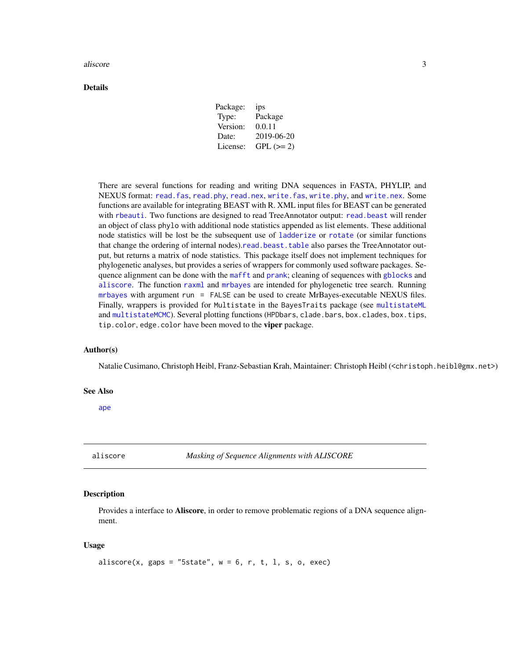#### <span id="page-2-0"></span>aliscore  $\overline{3}$

#### Details

| Package: | ips         |
|----------|-------------|
| Type:    | Package     |
| Version: | 0.0.11      |
| Date:    | 2019-06-20  |
| License: | $GPL (= 2)$ |

There are several functions for reading and writing DNA sequences in FASTA, PHYLIP, and NEXUS format: [read.fas](#page-39-1), [read.phy](#page-39-1), [read.nex](#page-39-1), [write.fas](#page-47-1), [write.phy](#page-47-2), and [write.nex](#page-47-2). Some functions are available for integrating BEAST with R. XML input files for BEAST can be generated with [rbeauti](#page-38-1). Two functions are designed to read TreeAnnotator output: [read.beast](#page-40-1) will render an object of class phylo with additional node statistics appended as list elements. These additional node statistics will be lost be the subsequent use of [ladderize](#page-0-0) or [rotate](#page-0-0) (or similar functions that change the ordering of internal nodes).[read.beast.table](#page-41-1) also parses the TreeAnnotator output, but returns a matrix of node statistics. This package itself does not implement techniques for phylogenetic analyses, but provides a series of wrappers for commonly used software packages. Sequence alignment can be done with the [mafft](#page-18-1) and [prank](#page-33-1); cleaning of sequences with [gblocks](#page-13-1) and [aliscore](#page-2-1). The function [raxml](#page-34-1) and [mrbayes](#page-20-1) are intended for phylogenetic tree search. Running [mrbayes](#page-20-1) with argument run = FALSE can be used to create MrBayes-executable NEXUS files. Finally, wrappers is provided for Multistate in the BayesTraits package (see [multistateML](#page-27-1) and [multistateMCMC](#page-27-1)). Several plotting functions (HPDbars, clade.bars, box.clades, box.tips, tip.color, edge.color have been moved to the viper package.

# Author(s)

Natalie Cusimano, Christoph Heibl, Franz-Sebastian Krah, Maintainer: Christoph Heibl (<christoph.heibl@gmx.net>)

#### See Also

[ape](#page-0-0)

<span id="page-2-1"></span>aliscore *Masking of Sequence Alignments with ALISCORE*

# Description

Provides a interface to **Aliscore**, in order to remove problematic regions of a DNA sequence alignment.

#### Usage

```
aliscore(x, gaps = "5state", w = 6, r, t, l, s, o, exec)
```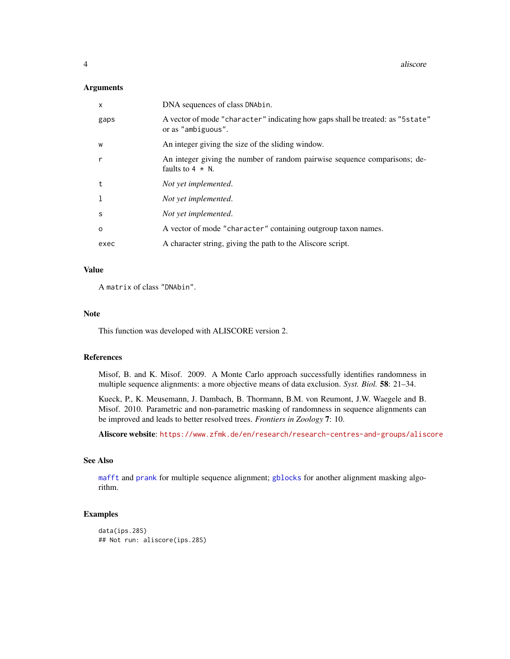#### <span id="page-3-0"></span>Arguments

| $\mathsf{x}$ | DNA sequences of class DNAbin.                                                                        |
|--------------|-------------------------------------------------------------------------------------------------------|
| gaps         | A vector of mode "character" indicating how gaps shall be treated: as "5 state"<br>or as "ambiguous". |
| W            | An integer giving the size of the sliding window.                                                     |
| r            | An integer giving the number of random pairwise sequence comparisons; de-<br>faults to $4 \times N$ . |
| t            | Not yet implemented.                                                                                  |
| -1           | Not yet implemented.                                                                                  |
| S            | Not yet implemented.                                                                                  |
| $\Omega$     | A vector of mode "character" containing outgroup taxon names.                                         |
| exec         | A character string, giving the path to the Aliscore script.                                           |

# Value

A matrix of class "DNAbin".

# Note

This function was developed with ALISCORE version 2.

# References

Misof, B. and K. Misof. 2009. A Monte Carlo approach successfully identifies randomness in multiple sequence alignments: a more objective means of data exclusion. *Syst. Biol.* 58: 21–34.

Kueck, P., K. Meusemann, J. Dambach, B. Thormann, B.M. von Reumont, J.W. Waegele and B. Misof. 2010. Parametric and non-parametric masking of randomness in sequence alignments can be improved and leads to better resolved trees. *Frontiers in Zoology* 7: 10.

Aliscore website: <https://www.zfmk.de/en/research/research-centres-and-groups/aliscore>

# See Also

[mafft](#page-18-1) and [prank](#page-33-1) for multiple sequence alignment; [gblocks](#page-13-1) for another alignment masking algorithm.

# Examples

```
data(ips.28S)
## Not run: aliscore(ips.28S)
```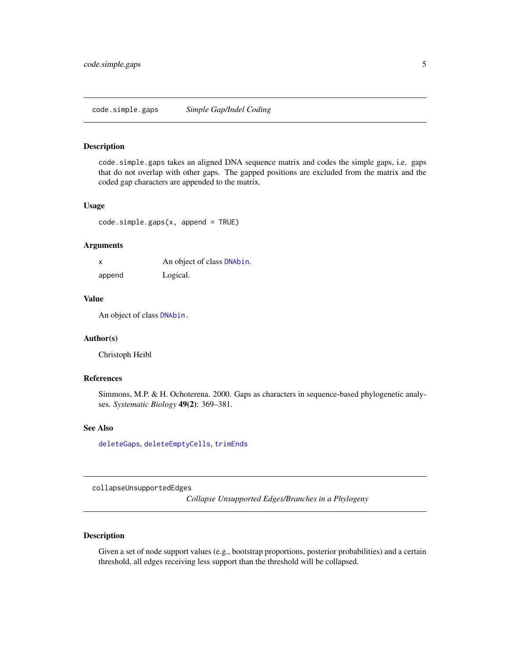# <span id="page-4-1"></span><span id="page-4-0"></span>Description

code.simple.gaps takes an aligned DNA sequence matrix and codes the simple gaps, i.e. gaps that do not overlap with other gaps. The gapped positions are excluded from the matrix and the coded gap characters are appended to the matrix.

# Usage

code.simple.gaps(x, append = TRUE)

#### Arguments

|        | An object of class DNAbin. |
|--------|----------------------------|
| append | Logical.                   |

#### Value

An object of class [DNAbin.](#page-0-0)

# Author(s)

Christoph Heibl

# References

Simmons, M.P. & H. Ochoterena. 2000. Gaps as characters in sequence-based phylogenetic analyses. *Systematic Biology* 49(2): 369–381.

#### See Also

[deleteGaps](#page-7-1), [deleteEmptyCells](#page-6-1), [trimEnds](#page-46-1)

collapseUnsupportedEdges

*Collapse Unsupported Edges/Branches in a Phylogeny*

# Description

Given a set of node support values (e.g., bootstrap proportions, posterior probabilities) and a certain threshold, all edges receiving less support than the threshold will be collapsed.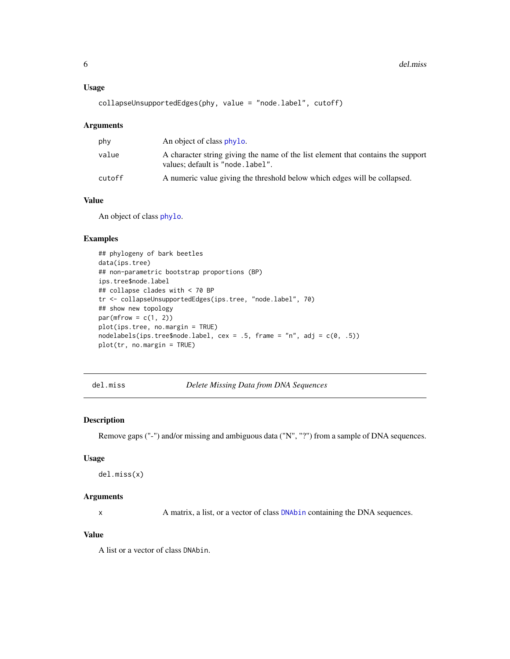#### <span id="page-5-0"></span>Usage

```
collapseUnsupportedEdges(phy, value = "node.label", cutoff)
```
#### Arguments

| phy    | An object of class phylo.                                                                                             |
|--------|-----------------------------------------------------------------------------------------------------------------------|
| value  | A character string giving the name of the list element that contains the support<br>values; default is "node. label". |
| cutoff | A numeric value giving the threshold below which edges will be collapsed.                                             |

# Value

An object of class [phylo](#page-0-0).

# Examples

```
## phylogeny of bark beetles
data(ips.tree)
## non-parametric bootstrap proportions (BP)
ips.tree$node.label
## collapse clades with < 70 BP
tr <- collapseUnsupportedEdges(ips.tree, "node.label", 70)
## show new topology
par(mfrow = c(1, 2))plot(ips.tree, no.margin = TRUE)
nodelabels(ips.tree$node.label, cex = .5, frame = "n", adj = c(0, .5))
plot(tr, no.margin = TRUE)
```
del.miss *Delete Missing Data from DNA Sequences*

#### Description

Remove gaps ("-") and/or missing and ambiguous data ("N", "?") from a sample of DNA sequences.

#### Usage

```
del.miss(x)
```
#### Arguments

x A matrix, a list, or a vector of class [DNAbin](#page-0-0) containing the DNA sequences.

### Value

A list or a vector of class DNAbin.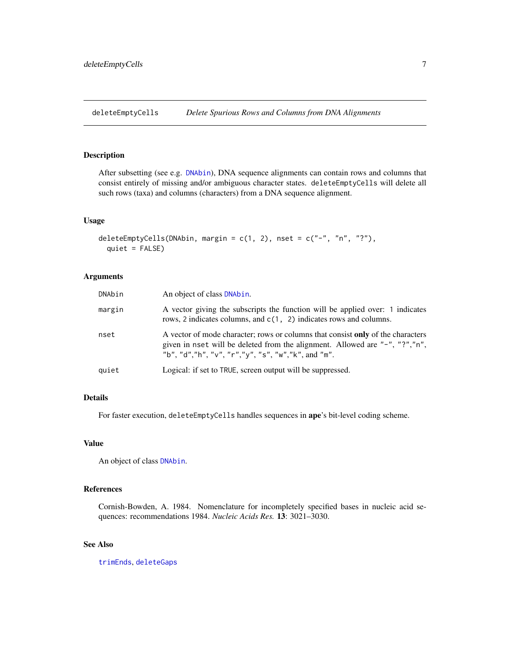<span id="page-6-1"></span><span id="page-6-0"></span>deleteEmptyCells *Delete Spurious Rows and Columns from DNA Alignments*

# Description

After subsetting (see e.g. [DNAbin](#page-0-0)), DNA sequence alignments can contain rows and columns that consist entirely of missing and/or ambiguous character states. deleteEmptyCells will delete all such rows (taxa) and columns (characters) from a DNA sequence alignment.

# Usage

```
deleteEmptyCells(DNAbin, margin = c(1, 2), nset = c("-", "n", "?"),quiet = FALSE)
```
#### Arguments

| DNAbin | An object of class DNAbin.                                                                                                                                                                                           |
|--------|----------------------------------------------------------------------------------------------------------------------------------------------------------------------------------------------------------------------|
| margin | A vector giving the subscripts the function will be applied over: 1 indicates<br>rows, 2 indicates columns, and $c(1, 2)$ indicates rows and columns.                                                                |
| nset   | A vector of mode character; rows or columns that consist only of the characters<br>given in nset will be deleted from the alignment. Allowed are "-", "?","n",<br>"b", "d","h", "v", "r","y", "s", "w","k", and "m". |
| quiet  | Logical: if set to TRUE, screen output will be suppressed.                                                                                                                                                           |

# Details

For faster execution, deleteEmptyCells handles sequences in ape's bit-level coding scheme.

# Value

An object of class [DNAbin](#page-0-0).

# References

Cornish-Bowden, A. 1984. Nomenclature for incompletely specified bases in nucleic acid sequences: recommendations 1984. *Nucleic Acids Res.* 13: 3021–3030.

# See Also

[trimEnds](#page-46-1), [deleteGaps](#page-7-1)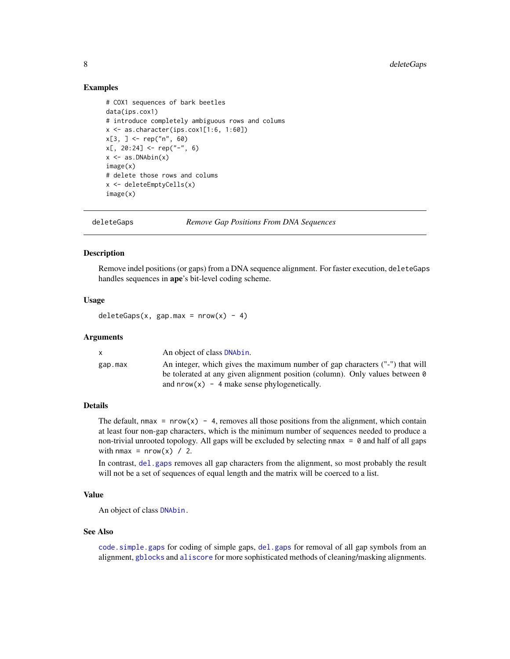#### Examples

```
# COX1 sequences of bark beetles
data(ips.cox1)
# introduce completely ambiguous rows and colums
x \leftarrow as.charAter(ips.cox1[1:6, 1:60])x[3, ] \leq - rep("n", 60)
x[, 20:24] < - rep("-", 6)
x \leftarrow as.DNAbin(x)image(x)
# delete those rows and colums
x <- deleteEmptyCells(x)
image(x)
```
<span id="page-7-1"></span>

deleteGaps *Remove Gap Positions From DNA Sequences*

#### Description

Remove indel positions (or gaps) from a DNA sequence alignment. For faster execution, deleteGaps handles sequences in ape's bit-level coding scheme.

#### Usage

deleteGaps(x, gap.max =  $nrow(x) - 4$ )

#### Arguments

| X       | An object of class DNAbin.                                                   |
|---------|------------------------------------------------------------------------------|
| gap.max | An integer, which gives the maximum number of gap characters ("-") that will |
|         | be tolerated at any given alignment position (column). Only values between 0 |
|         | and $nrow(x)$ – 4 make sense phylogenetically.                               |

#### Details

The default, nmax =  $nrow(x) - 4$ , removes all those positions from the alignment, which contain at least four non-gap characters, which is the minimum number of sequences needed to produce a non-trivial unrooted topology. All gaps will be excluded by selecting  $nmax = 0$  and half of all gaps with nmax =  $nrow(x)$  / 2.

In contrast, [del.gaps](#page-0-0) removes all gap characters from the alignment, so most probably the result will not be a set of sequences of equal length and the matrix will be coerced to a list.

# Value

An object of class [DNAbin.](#page-0-0)

#### See Also

[code.simple.gaps](#page-4-1) for coding of simple gaps, [del.gaps](#page-0-0) for removal of all gap symbols from an alignment, [gblocks](#page-13-1) and [aliscore](#page-2-1) for more sophisticated methods of cleaning/masking alignments.

<span id="page-7-0"></span>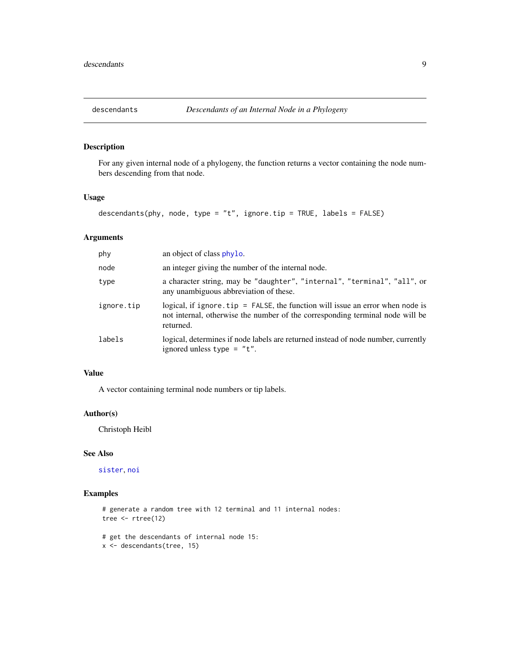<span id="page-8-1"></span><span id="page-8-0"></span>

# Description

For any given internal node of a phylogeny, the function returns a vector containing the node numbers descending from that node.

# Usage

```
descendants(phy, node, type = "t", ignore.tip = TRUE, labels = FALSE)
```
# Arguments

| phy        | an object of class phylo.                                                                                                                                                       |
|------------|---------------------------------------------------------------------------------------------------------------------------------------------------------------------------------|
| node       | an integer giving the number of the internal node.                                                                                                                              |
| type       | a character string, may be "daughter", "internal", "terminal", "all", or<br>any unambiguous abbreviation of these.                                                              |
| ignore.tip | logical, if ignore. $tip = FALSE$ , the function will issue an error when node is<br>not internal, otherwise the number of the corresponding terminal node will be<br>returned. |
| labels     | logical, determines if node labels are returned instead of node number, currently<br>ignored unless type $= "t".$                                                               |

# Value

A vector containing terminal node numbers or tip labels.

# Author(s)

Christoph Heibl

# See Also

[sister](#page-42-1), [noi](#page-9-1)

# Examples

```
# generate a random tree with 12 terminal and 11 internal nodes:
tree <- rtree(12)
```
# get the descendants of internal node 15: x <- descendants(tree, 15)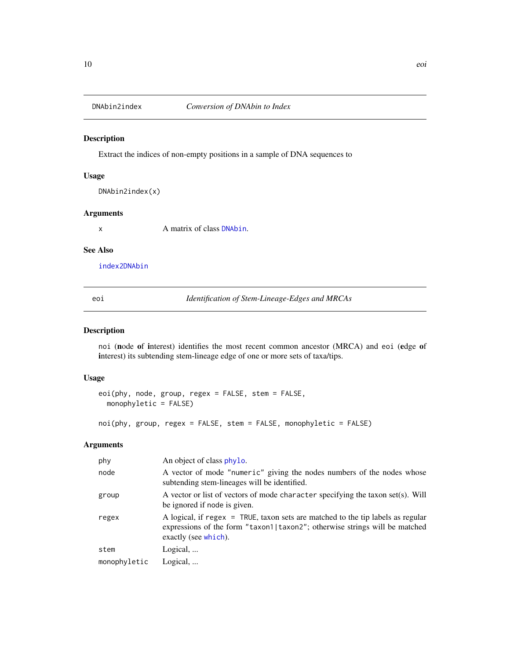<span id="page-9-2"></span><span id="page-9-0"></span>

# Description

Extract the indices of non-empty positions in a sample of DNA sequences to

#### Usage

DNAbin2index(x)

#### Arguments

x A matrix of class [DNAbin](#page-0-0).

#### See Also

[index2DNAbin](#page-15-1)

eoi *Identification of Stem-Lineage-Edges and MRCAs*

# <span id="page-9-1"></span>Description

noi (node of interest) identifies the most recent common ancestor (MRCA) and eoi (edge of interest) its subtending stem-lineage edge of one or more sets of taxa/tips.

#### Usage

```
eoi(phy, node, group, regex = FALSE, stem = FALSE,
 monophyletic = FALSE)
```
noi(phy, group, regex = FALSE, stem = FALSE, monophyletic = FALSE)

# Arguments

| phy          | An object of class phylo.                                                                                                                                                             |
|--------------|---------------------------------------------------------------------------------------------------------------------------------------------------------------------------------------|
| node         | A vector of mode "numeric" giving the nodes numbers of the nodes whose<br>subtending stem-lineages will be identified.                                                                |
| group        | A vector or list of vectors of mode character specifying the taxon set(s). Will<br>be ignored if node is given.                                                                       |
| regex        | A logical, if regex = TRUE, taxon sets are matched to the tip labels as regular<br>expressions of the form "taxon1 taxon2"; otherwise strings will be matched<br>exactly (see which). |
| stem         | Logical,                                                                                                                                                                              |
| monophyletic | Logical,                                                                                                                                                                              |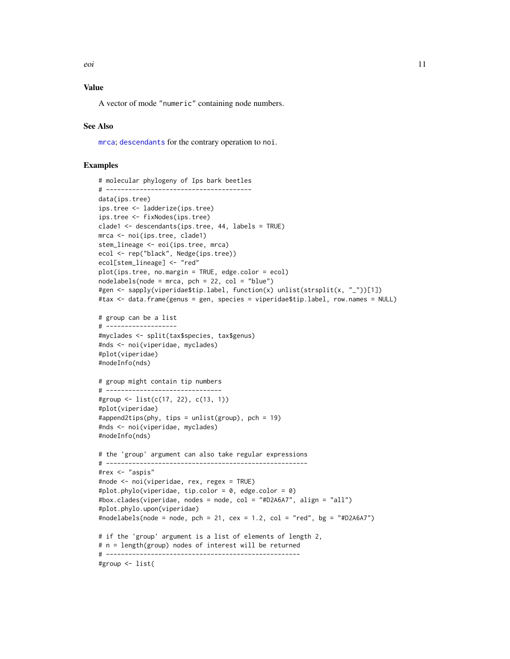# <span id="page-10-0"></span>Value

A vector of mode "numeric" containing node numbers.

# See Also

[mrca](#page-0-0); [descendants](#page-8-1) for the contrary operation to noi.

# Examples

```
# molecular phylogeny of Ips bark beetles
# ---------------------------------------
data(ips.tree)
ips.tree <- ladderize(ips.tree)
ips.tree <- fixNodes(ips.tree)
clade1 <- descendants(ips.tree, 44, labels = TRUE)
mrca <- noi(ips.tree, clade1)
stem_lineage <- eoi(ips.tree, mrca)
ecol <- rep("black", Nedge(ips.tree))
ecol[stem_lineage] <- "red"
plot(ips.tree, no.margin = TRUE, edge.color = ecol)
nodelabels(node = mrea, pch = 22, col = "blue")#gen <- sapply(viperidae$tip.label, function(x) unlist(strsplit(x, "_"))[1])
#tax <- data.frame(genus = gen, species = viperidae$tip.label, row.names = NULL)
# group can be a list
# -------------------
#myclades <- split(tax$species, tax$genus)
#nds <- noi(viperidae, myclades)
#plot(viperidae)
#nodeInfo(nds)
# group might contain tip numbers
# -------------------------------
#group <- list(c(17, 22), c(13, 1))
#plot(viperidae)
#append2tips(phy, tips = unlist(group), pch = 19)
#nds <- noi(viperidae, myclades)
#nodeInfo(nds)
# the 'group' argument can also take regular expressions
# ------------------------------------------------------
#rex <- "aspis"
#node <- noi(viperidae, rex, regex = TRUE)
#plot.phylo(viperidae, tip.color = 0, edge.color = 0)
#box.clades(viperidae, nodes = node, col = "#D2A6A7", align = "all")
#plot.phylo.upon(viperidae)
#nodelabels(node = node, pch = 21, cex = 1.2, col = "red", bg = "#D2A6A7")
# if the 'group' argument is a list of elements of length 2,
# n = length(group) nodes of interest will be returned
# ----------------------------------------------------
#group <- list(
```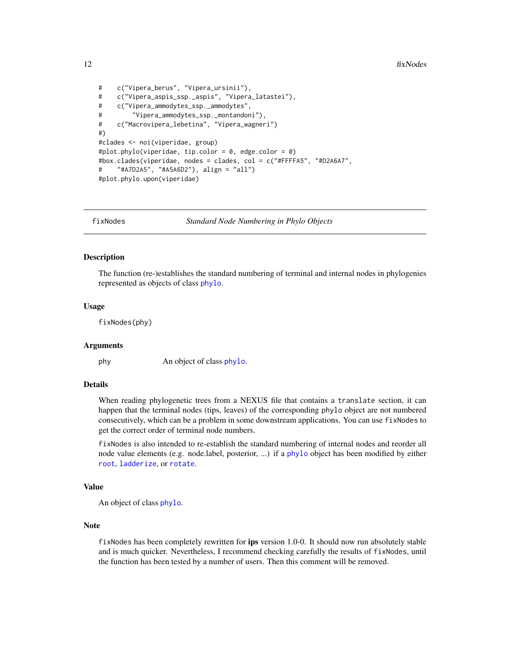```
# c("Vipera_berus", "Vipera_ursinii"),
# c("Vipera_aspis_ssp._aspis", "Vipera_latastei"),
# c("Vipera_ammodytes_ssp._ammodytes",
# "Vipera_ammodytes_ssp._montandoni"),
# c("Macrovipera_lebetina", "Vipera_wagneri")
#)
#clades <- noi(viperidae, group)
#plot.phylo(viperidae, tip.color = 0, edge.color = 0)
#box.clades(viperidae, nodes = clades, col = c("#FFFFA5", "#D2A6A7",
# "#A7D2A5", "#A5A6D2"), align = "all")
#plot.phylo.upon(viperidae)
```
fixNodes *Standard Node Numbering in Phylo Objects*

#### **Description**

The function (re-)establishes the standard numbering of terminal and internal nodes in phylogenies represented as objects of class [phylo](#page-0-0).

# Usage

fixNodes(phy)

#### Arguments

phy An object of class [phylo](#page-0-0).

#### Details

When reading phylogenetic trees from a NEXUS file that contains a translate section, it can happen that the terminal nodes (tips, leaves) of the corresponding phylo object are not numbered consecutively, which can be a problem in some downstream applications. You can use fixNodes to get the correct order of terminal node numbers.

fixNodes is also intended to re-establish the standard numbering of internal nodes and reorder all node value elements (e.g. node.label, posterior, ...) if a [phylo](#page-0-0) object has been modified by either [root](#page-0-0), [ladderize](#page-0-0), or [rotate](#page-0-0).

#### Value

```
An object of class phylo.
```
# Note

fixNodes has been completely rewritten for ips version 1.0-0. It should now run absolutely stable and is much quicker. Nevertheless, I recommend checking carefully the results of fixNodes, until the function has been tested by a number of users. Then this comment will be removed.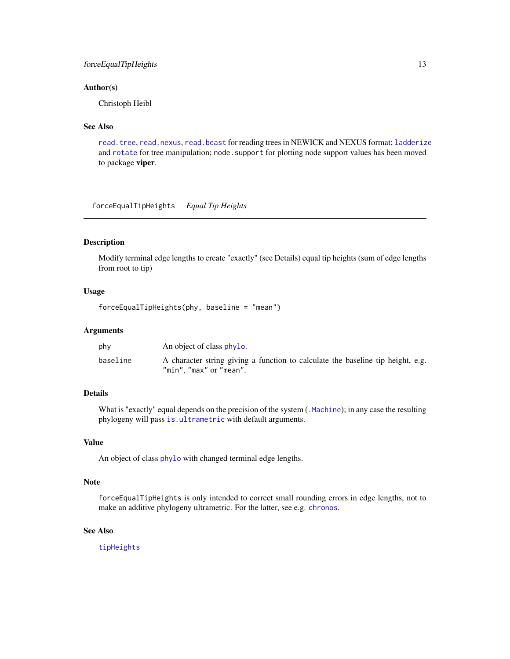# <span id="page-12-0"></span>forceEqualTipHeights 13

#### Author(s)

Christoph Heibl

# See Also

[read.tree](#page-0-0), [read.nexus](#page-0-0), [read.beast](#page-40-1) for reading trees in NEWICK and NEXUS format; [ladderize](#page-0-0) and [rotate](#page-0-0) for tree manipulation; node. support for plotting node support values has been moved to package viper.

forceEqualTipHeights *Equal Tip Heights*

# Description

Modify terminal edge lengths to create "exactly" (see Details) equal tip heights (sum of edge lengths from root to tip)

# Usage

```
forceEqualTipHeights(phy, baseline = "mean")
```
#### Arguments

| phy      | An object of class phylo.                                                                                  |
|----------|------------------------------------------------------------------------------------------------------------|
| baseline | A character string giving a function to calculate the baseline tip height, e.g.<br>"min", "max" or "mean". |

# Details

What is "exactly" equal depends on the precision of the system (. Machine); in any case the resulting phylogeny will pass [is.ultrametric](#page-0-0) with default arguments.

# Value

An object of class [phylo](#page-0-0) with changed terminal edge lengths.

#### Note

forceEqualTipHeights is only intended to correct small rounding errors in edge lengths, not to make an additive phylogeny ultrametric. For the latter, see e.g. [chronos](#page-0-0).

# See Also

[tipHeights](#page-44-1)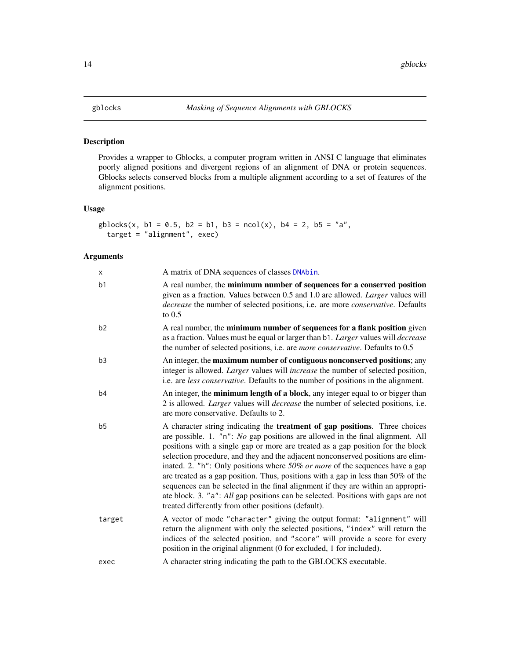# <span id="page-13-1"></span><span id="page-13-0"></span>Description

Provides a wrapper to Gblocks, a computer program written in ANSI C language that eliminates poorly aligned positions and divergent regions of an alignment of DNA or protein sequences. Gblocks selects conserved blocks from a multiple alignment according to a set of features of the alignment positions.

#### Usage

```
gblocks(x, b1 = 0.5, b2 = b1, b3 = ncol(x), b4 = 2, b5 = "a",target = "alignment", exec)
```
# Arguments

| x              | A matrix of DNA sequences of classes DNAbin.                                                                                                                                                                                                                                                                                                                                                                                                                                                                                                                                                                                                                                                                                                     |
|----------------|--------------------------------------------------------------------------------------------------------------------------------------------------------------------------------------------------------------------------------------------------------------------------------------------------------------------------------------------------------------------------------------------------------------------------------------------------------------------------------------------------------------------------------------------------------------------------------------------------------------------------------------------------------------------------------------------------------------------------------------------------|
| b <sub>1</sub> | A real number, the minimum number of sequences for a conserved position<br>given as a fraction. Values between 0.5 and 1.0 are allowed. Larger values will<br>decrease the number of selected positions, i.e. are more conservative. Defaults<br>to $0.5$                                                                                                                                                                                                                                                                                                                                                                                                                                                                                        |
| b <sub>2</sub> | A real number, the minimum number of sequences for a flank position given<br>as a fraction. Values must be equal or larger than b1. Larger values will decrease<br>the number of selected positions, i.e. are more conservative. Defaults to 0.5                                                                                                                                                                                                                                                                                                                                                                                                                                                                                                 |
| b3             | An integer, the maximum number of contiguous nonconserved positions; any<br>integer is allowed. Larger values will increase the number of selected position,<br>i.e. are less conservative. Defaults to the number of positions in the alignment.                                                                                                                                                                                                                                                                                                                                                                                                                                                                                                |
| b4             | An integer, the <b>minimum length of a block</b> , any integer equal to or bigger than<br>2 is allowed. <i>Larger</i> values will <i>decrease</i> the number of selected positions, i.e.<br>are more conservative. Defaults to 2.                                                                                                                                                                                                                                                                                                                                                                                                                                                                                                                |
| b <sub>5</sub> | A character string indicating the <b>treatment of gap positions</b> . Three choices<br>are possible. 1. "n": No gap positions are allowed in the final alignment. All<br>positions with a single gap or more are treated as a gap position for the block<br>selection procedure, and they and the adjacent nonconserved positions are elim-<br>inated. 2. "h": Only positions where 50% or more of the sequences have a gap<br>are treated as a gap position. Thus, positions with a gap in less than 50% of the<br>sequences can be selected in the final alignment if they are within an appropri-<br>ate block. 3. "a": All gap positions can be selected. Positions with gaps are not<br>treated differently from other positions (default). |
| target         | A vector of mode "character" giving the output format: "alignment" will<br>return the alignment with only the selected positions, "index" will return the<br>indices of the selected position, and "score" will provide a score for every<br>position in the original alignment (0 for excluded, 1 for included).                                                                                                                                                                                                                                                                                                                                                                                                                                |
| exec           | A character string indicating the path to the GBLOCKS executable.                                                                                                                                                                                                                                                                                                                                                                                                                                                                                                                                                                                                                                                                                |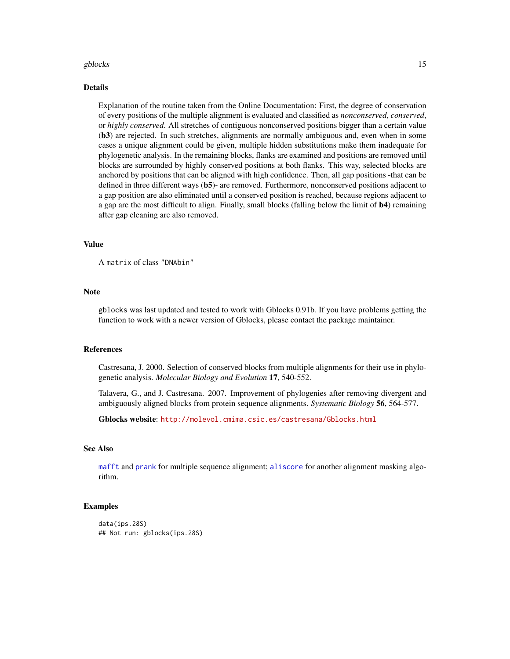#### <span id="page-14-0"></span>gblocks and the state of the state of the state of the state of the state of the state of the state of the state of the state of the state of the state of the state of the state of the state of the state of the state of th

#### Details

Explanation of the routine taken from the Online Documentation: First, the degree of conservation of every positions of the multiple alignment is evaluated and classified as *nonconserved*, *conserved*, or *highly conserved*. All stretches of contiguous nonconserved positions bigger than a certain value (b3) are rejected. In such stretches, alignments are normally ambiguous and, even when in some cases a unique alignment could be given, multiple hidden substitutions make them inadequate for phylogenetic analysis. In the remaining blocks, flanks are examined and positions are removed until blocks are surrounded by highly conserved positions at both flanks. This way, selected blocks are anchored by positions that can be aligned with high confidence. Then, all gap positions -that can be defined in three different ways (b5)- are removed. Furthermore, nonconserved positions adjacent to a gap position are also eliminated until a conserved position is reached, because regions adjacent to a gap are the most difficult to align. Finally, small blocks (falling below the limit of **b4**) remaining after gap cleaning are also removed.

#### Value

A matrix of class "DNAbin"

#### Note

gblocks was last updated and tested to work with Gblocks 0.91b. If you have problems getting the function to work with a newer version of Gblocks, please contact the package maintainer.

#### References

Castresana, J. 2000. Selection of conserved blocks from multiple alignments for their use in phylogenetic analysis. *Molecular Biology and Evolution* 17, 540-552.

Talavera, G., and J. Castresana. 2007. Improvement of phylogenies after removing divergent and ambiguously aligned blocks from protein sequence alignments. *Systematic Biology* 56, 564-577.

Gblocks website: <http://molevol.cmima.csic.es/castresana/Gblocks.html>

#### See Also

[mafft](#page-18-1) and [prank](#page-33-1) for multiple sequence alignment; [aliscore](#page-2-1) for another alignment masking algorithm.

#### Examples

```
data(ips.28S)
## Not run: gblocks(ips.28S)
```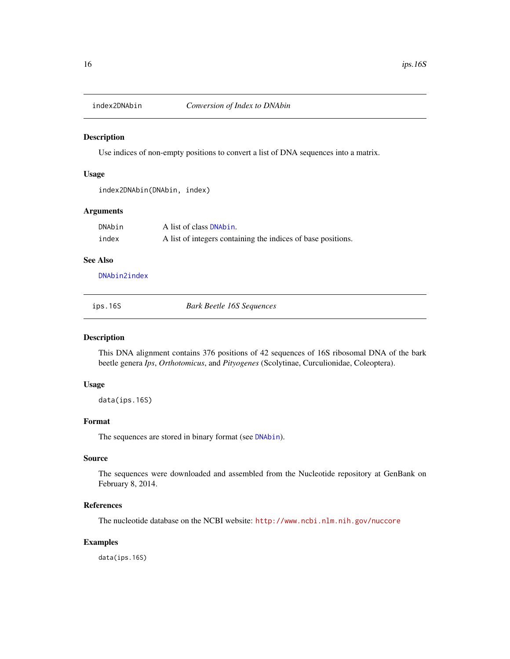<span id="page-15-1"></span><span id="page-15-0"></span>

# Description

Use indices of non-empty positions to convert a list of DNA sequences into a matrix.

#### Usage

```
index2DNAbin(DNAbin, index)
```
# Arguments

| DNAbin | A list of class <b>DNAbin.</b>                               |
|--------|--------------------------------------------------------------|
| index  | A list of integers containing the indices of base positions. |

# See Also

[DNAbin2index](#page-9-2)

ips.16S *Bark Beetle 16S Sequences*

#### Description

This DNA alignment contains 376 positions of 42 sequences of 16S ribosomal DNA of the bark beetle genera *Ips*, *Orthotomicus*, and *Pityogenes* (Scolytinae, Curculionidae, Coleoptera).

#### Usage

data(ips.16S)

# Format

The sequences are stored in binary format (see [DNAbin](#page-0-0)).

# Source

The sequences were downloaded and assembled from the Nucleotide repository at GenBank on February 8, 2014.

#### References

The nucleotide database on the NCBI website: <http://www.ncbi.nlm.nih.gov/nuccore>

#### Examples

data(ips.16S)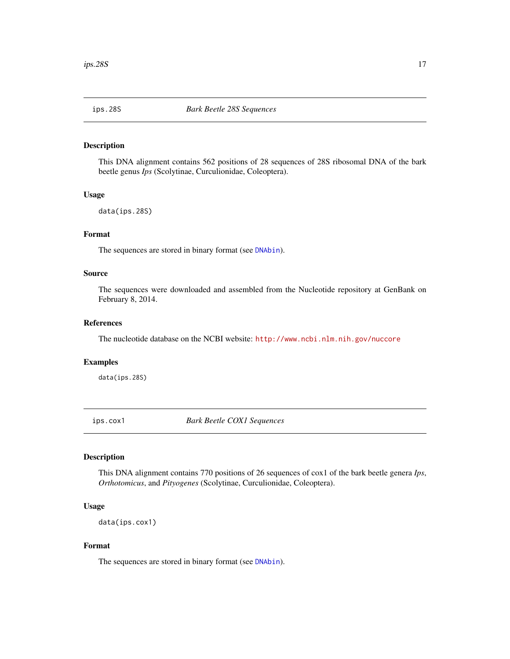<span id="page-16-0"></span>

# Description

This DNA alignment contains 562 positions of 28 sequences of 28S ribosomal DNA of the bark beetle genus *Ips* (Scolytinae, Curculionidae, Coleoptera).

#### Usage

data(ips.28S)

# Format

The sequences are stored in binary format (see [DNAbin](#page-0-0)).

#### Source

The sequences were downloaded and assembled from the Nucleotide repository at GenBank on February 8, 2014.

#### References

The nucleotide database on the NCBI website: <http://www.ncbi.nlm.nih.gov/nuccore>

#### Examples

data(ips.28S)

ips.cox1 *Bark Beetle COX1 Sequences*

# Description

This DNA alignment contains 770 positions of 26 sequences of cox1 of the bark beetle genera *Ips*, *Orthotomicus*, and *Pityogenes* (Scolytinae, Curculionidae, Coleoptera).

#### Usage

data(ips.cox1)

# Format

The sequences are stored in binary format (see [DNAbin](#page-0-0)).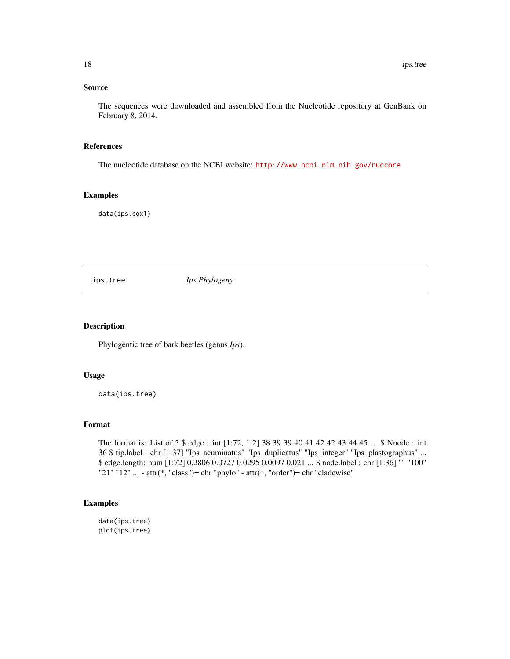# <span id="page-17-0"></span>Source

The sequences were downloaded and assembled from the Nucleotide repository at GenBank on February 8, 2014.

# References

The nucleotide database on the NCBI website: <http://www.ncbi.nlm.nih.gov/nuccore>

#### Examples

data(ips.cox1)

ips.tree *Ips Phylogeny*

# Description

Phylogentic tree of bark beetles (genus *Ips*).

# Usage

data(ips.tree)

#### Format

The format is: List of 5 \$ edge : int [1:72, 1:2] 38 39 39 40 41 42 42 43 44 45 ... \$ Nnode : int 36 \$ tip.label : chr [1:37] "Ips\_acuminatus" "Ips\_duplicatus" "Ips\_integer" "Ips\_plastographus" ... \$ edge.length: num [1:72] 0.2806 0.0727 0.0295 0.0097 0.021 ... \$ node.label : chr [1:36] "" "100" "21" "12" ... - attr(\*, "class")= chr "phylo" - attr(\*, "order")= chr "cladewise"

# Examples

data(ips.tree) plot(ips.tree)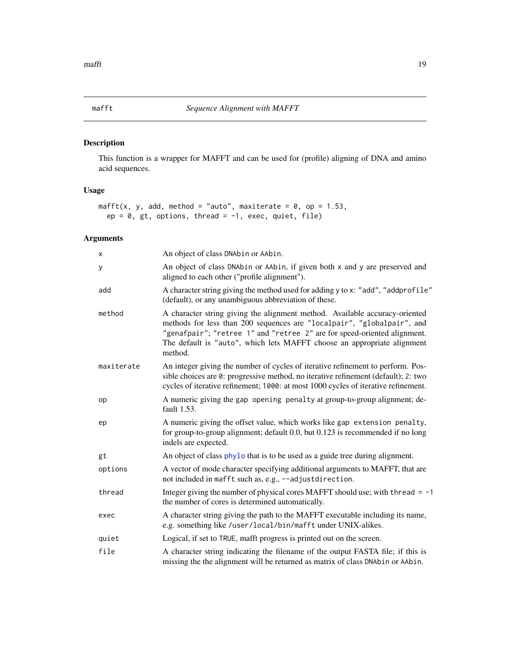<span id="page-18-1"></span><span id="page-18-0"></span>

# Description

This function is a wrapper for MAFFT and can be used for (profile) aligning of DNA and amino acid sequences.

#### Usage

```
mafft(x, y, add, method = "auto", maxiterate = 0, op = 1.53,
 ep = 0, gt, options, thread = -1, exec, quiet, file)
```
# Arguments

| X          | An object of class DNAbin or AAbin.                                                                                                                                                                                                                                                                                     |
|------------|-------------------------------------------------------------------------------------------------------------------------------------------------------------------------------------------------------------------------------------------------------------------------------------------------------------------------|
| У          | An object of class DNAbin or AAbin, if given both x and y are preserved and<br>aligned to each other ("profile alignment").                                                                                                                                                                                             |
| add        | A character string giving the method used for adding y to x: "add", "addprofile"<br>(default), or any unambiguous abbreviation of these.                                                                                                                                                                                |
| method     | A character string giving the alignment method. Available accuracy-oriented<br>methods for less than 200 sequences are "localpair", "globalpair", and<br>"genafpair"; "retree 1" and "retree 2" are for speed-oriented alignment.<br>The default is "auto", which lets MAFFT choose an appropriate alignment<br>method. |
| maxiterate | An integer giving the number of cycles of iterative refinement to perform. Pos-<br>sible choices are 0: progressive method, no iterative refinement (default); 2: two<br>cycles of iterative refinement; 1000: at most 1000 cycles of iterative refinement.                                                             |
| op         | A numeric giving the gap opening penalty at group-to-group alignment; de-<br>fault 1.53.                                                                                                                                                                                                                                |
| ep         | A numeric giving the offset value, which works like gap extension penalty,<br>for group-to-group alignment; default 0.0, but 0.123 is recommended if no long<br>indels are expected.                                                                                                                                    |
| gt         | An object of class phylo that is to be used as a guide tree during alignment.                                                                                                                                                                                                                                           |
| options    | A vector of mode character specifying additional arguments to MAFFT, that are<br>not included in mafft such as, e.g., --adjustdirection.                                                                                                                                                                                |
| thread     | Integer giving the number of physical cores MAFFT should use; with thread $= -1$<br>the number of cores is determined automatically.                                                                                                                                                                                    |
| exec       | A character string giving the path to the MAFFT executable including its name,<br>e.g. something like /user/local/bin/mafft under UNIX-alikes.                                                                                                                                                                          |
| quiet      | Logical, if set to TRUE, mafft progress is printed out on the screen.                                                                                                                                                                                                                                                   |
| file       | A character string indicating the filename of the output FASTA file; if this is<br>missing the the alignment will be returned as matrix of class DNAbin or AAbin.                                                                                                                                                       |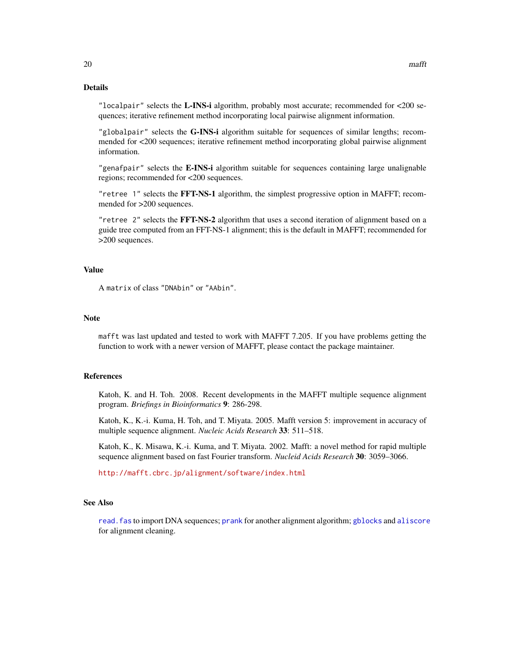# <span id="page-19-0"></span>Details

"localpair" selects the L-INS-i algorithm, probably most accurate; recommended for  $\langle 200 \rangle$  sequences; iterative refinement method incorporating local pairwise alignment information.

"globalpair" selects the G-INS-i algorithm suitable for sequences of similar lengths; recommended for <200 sequences; iterative refinement method incorporating global pairwise alignment information.

"genafpair" selects the E-INS-i algorithm suitable for sequences containing large unalignable regions; recommended for <200 sequences.

"retree 1" selects the FFT-NS-1 algorithm, the simplest progressive option in MAFFT; recommended for >200 sequences.

"retree 2" selects the FFT-NS-2 algorithm that uses a second iteration of alignment based on a guide tree computed from an FFT-NS-1 alignment; this is the default in MAFFT; recommended for >200 sequences.

# Value

A matrix of class "DNAbin" or "AAbin".

#### Note

mafft was last updated and tested to work with MAFFT 7.205. If you have problems getting the function to work with a newer version of MAFFT, please contact the package maintainer.

# References

Katoh, K. and H. Toh. 2008. Recent developments in the MAFFT multiple sequence alignment program. *Briefings in Bioinformatics* 9: 286-298.

Katoh, K., K.-i. Kuma, H. Toh, and T. Miyata. 2005. Mafft version 5: improvement in accuracy of multiple sequence alignment. *Nucleic Acids Research* 33: 511–518.

Katoh, K., K. Misawa, K.-i. Kuma, and T. Miyata. 2002. Mafft: a novel method for rapid multiple sequence alignment based on fast Fourier transform. *Nucleid Acids Research* 30: 3059–3066.

<http://mafft.cbrc.jp/alignment/software/index.html>

#### See Also

[read.fas](#page-39-1) to import DNA sequences; [prank](#page-33-1) for another alignment algorithm; [gblocks](#page-13-1) and [aliscore](#page-2-1) for alignment cleaning.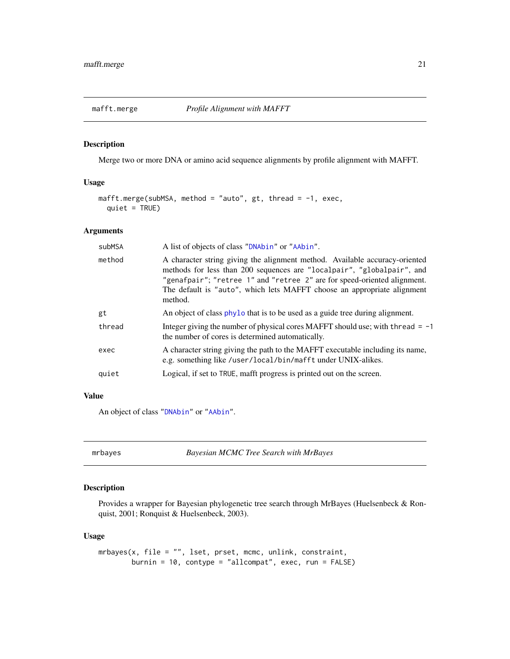<span id="page-20-0"></span>

# Description

Merge two or more DNA or amino acid sequence alignments by profile alignment with MAFFT.

# Usage

```
mafft.merge(subMSA, method = "auto", gt, thread = -1, exec,
 quiet = TRUE)
```
#### Arguments

| subMSA | A list of objects of class "DNAbin" or "AAbin".                                                                                                                                                                                                                                                                         |
|--------|-------------------------------------------------------------------------------------------------------------------------------------------------------------------------------------------------------------------------------------------------------------------------------------------------------------------------|
| method | A character string giving the alignment method. Available accuracy-oriented<br>methods for less than 200 sequences are "localpair", "globalpair", and<br>"genafpair"; "retree 1" and "retree 2" are for speed-oriented alignment.<br>The default is "auto", which lets MAFFT choose an appropriate alignment<br>method. |
| gt     | An object of class phylo that is to be used as a guide tree during alignment.                                                                                                                                                                                                                                           |
| thread | Integer giving the number of physical cores MAFFT should use; with thread $= -1$<br>the number of cores is determined automatically.                                                                                                                                                                                    |
| exec   | A character string giving the path to the MAFFT executable including its name,<br>e.g. something like /user/local/bin/mafft under UNIX-alikes.                                                                                                                                                                          |
| quiet  | Logical, if set to TRUE, mafft progress is printed out on the screen.                                                                                                                                                                                                                                                   |
|        |                                                                                                                                                                                                                                                                                                                         |

# Value

An object of class ["DNAbin"](#page-0-0) or ["AAbin"](#page-0-0).

<span id="page-20-1"></span>mrbayes *Bayesian MCMC Tree Search with MrBayes*

# Description

Provides a wrapper for Bayesian phylogenetic tree search through MrBayes (Huelsenbeck & Ronquist, 2001; Ronquist & Huelsenbeck, 2003).

# Usage

```
mrbayes(x, file = "", lset, prset, mcmc, unlink, constraint,
       burnin = 10, contype = "allcompat", exec, run = FALSE)
```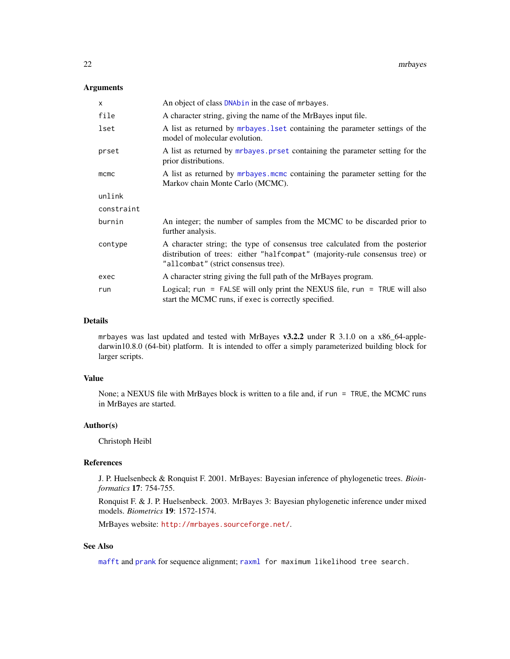#### <span id="page-21-0"></span>Arguments

| X          | An object of class DNAbin in the case of mrbayes.                                                                                                                                                    |
|------------|------------------------------------------------------------------------------------------------------------------------------------------------------------------------------------------------------|
| file       | A character string, giving the name of the MrBayes input file.                                                                                                                                       |
| lset       | A list as returned by mrbayes. I set containing the parameter settings of the<br>model of molecular evolution.                                                                                       |
| prset      | A list as returned by <i>mrbayes</i> prset containing the parameter setting for the<br>prior distributions.                                                                                          |
| $m$ cmc    | A list as returned by <i>mrbayes</i> . mcmc containing the parameter setting for the<br>Markov chain Monte Carlo (MCMC).                                                                             |
| unlink     |                                                                                                                                                                                                      |
| constraint |                                                                                                                                                                                                      |
| burnin     | An integer; the number of samples from the MCMC to be discarded prior to<br>further analysis.                                                                                                        |
| contype    | A character string; the type of consensus tree calculated from the posterior<br>distribution of trees: either "halfcompat" (majority-rule consensus tree) or<br>"allcombat" (strict consensus tree). |
| exec       | A character string giving the full path of the MrBayes program.                                                                                                                                      |
| run        | Logical; run = FALSE will only print the NEXUS file, run = TRUE will also<br>start the MCMC runs, if exec is correctly specified.                                                                    |

#### Details

mrbayes was last updated and tested with MrBayes v3.2.2 under R 3.1.0 on a x86\_64-appledarwin10.8.0 (64-bit) platform. It is intended to offer a simply parameterized building block for larger scripts.

#### Value

None; a NEXUS file with MrBayes block is written to a file and, if run = TRUE, the MCMC runs in MrBayes are started.

# Author(s)

Christoph Heibl

# References

J. P. Huelsenbeck & Ronquist F. 2001. MrBayes: Bayesian inference of phylogenetic trees. *Bioinformatics* 17: 754-755.

Ronquist F. & J. P. Huelsenbeck. 2003. MrBayes 3: Bayesian phylogenetic inference under mixed models. *Biometrics* 19: 1572-1574.

MrBayes website: <http://mrbayes.sourceforge.net/>.

# See Also

[mafft](#page-18-1) and [prank](#page-33-1) for sequence alignment; [raxml](#page-34-1) for maximum likelihood tree search.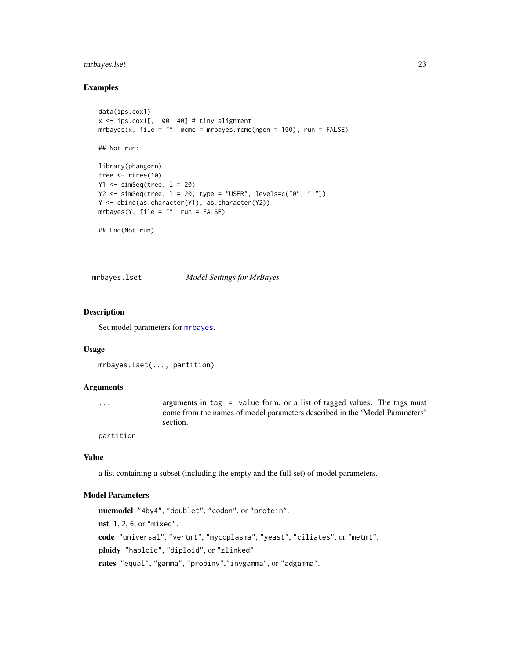# <span id="page-22-0"></span>mrbayes.lset 23

#### Examples

```
data(ips.cox1)
x \le - ips.cox1[, 100:140] # tiny alignment
mrbayes(x, file = ", mcmc = mrbayes.mcmc(ngen = 100), run = FALSE)
## Not run:
library(phangorn)
tree <- rtree(10)
Y1 \leftarrow \text{simSeq}(\text{tree}, 1 = 20)Y2 <- simSeq(tree, l = 20, type = "USER", levels=c("0", "1"))
Y <- cbind(as.character(Y1), as.character(Y2))
mrbayes(Y, file = "", run = FALSE)## End(Not run)
```
<span id="page-22-1"></span>mrbayes.lset *Model Settings for MrBayes*

#### **Description**

Set model parameters for [mrbayes](#page-20-1).

#### Usage

```
mrbayes.lset(..., partition)
```
#### Arguments

... arguments in tag = value form, or a list of tagged values. The tags must come from the names of model parameters described in the 'Model Parameters' section.

partition

# Value

a list containing a subset (including the empty and the full set) of model parameters.

# Model Parameters

nucmodel "4by4", "doublet", "codon", or "protein". nst 1, 2, 6, or "mixed". code "universal", "vertmt", "mycoplasma", "yeast", "ciliates", or "metmt". ploidy "haploid", "diploid", or "zlinked". rates "equal", "gamma", "propinv","invgamma", or "adgamma".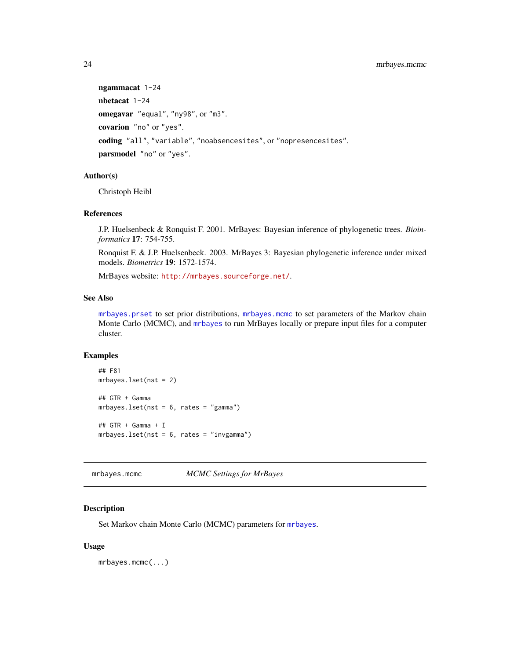```
ngammacat 1-24
nbetacat 1-24
omegavar "equal", "ny98", or "m3".
covarion "no" or "yes".
coding "all", "variable", "noabsencesites", or "nopresencesites".
parsmodel "no" or "yes".
```
#### Author(s)

Christoph Heibl

#### References

J.P. Huelsenbeck & Ronquist F. 2001. MrBayes: Bayesian inference of phylogenetic trees. *Bioinformatics* 17: 754-755.

Ronquist F. & J.P. Huelsenbeck. 2003. MrBayes 3: Bayesian phylogenetic inference under mixed models. *Biometrics* 19: 1572-1574.

MrBayes website: <http://mrbayes.sourceforge.net/>.

# See Also

[mrbayes.prset](#page-25-1) to set prior distributions, [mrbayes.mcmc](#page-23-1) to set parameters of the Markov chain Monte Carlo (MCMC), and [mrbayes](#page-20-1) to run MrBayes locally or prepare input files for a computer cluster.

#### Examples

```
## F81
mrbayes.lset(nst = 2)
## GTR + Gamma
mrbayes.lset(nst = 6, rates = "gamma")
## GTR + Gamma + I
mrbayes.lset(nst = 6, rates = "invgamma")
```
<span id="page-23-1"></span>mrbayes.mcmc *MCMC Settings for MrBayes*

# Description

Set Markov chain Monte Carlo (MCMC) parameters for [mrbayes](#page-20-1).

#### Usage

mrbayes.mcmc(...)

<span id="page-23-0"></span>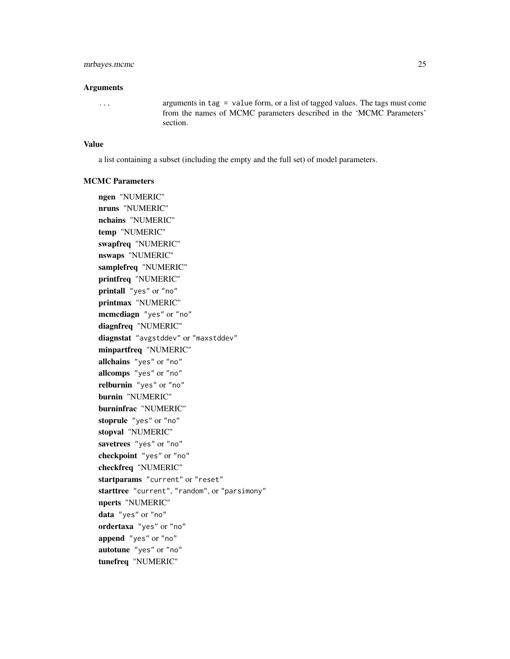# mrbayes.mcmc 25

#### **Arguments**

... arguments in tag = value form, or a list of tagged values. The tags must come from the names of MCMC parameters described in the 'MCMC Parameters' section.

#### Value

a list containing a subset (including the empty and the full set) of model parameters.

#### MCMC Parameters

ngen "NUMERIC" nruns "NUMERIC" nchains "NUMERIC" temp "NUMERIC" swapfreq "NUMERIC" nswaps "NUMERIC" samplefreq "NUMERIC" printfreq "NUMERIC" printall "yes" or "no" printmax "NUMERIC" mcmcdiagn "yes" or "no" diagnfreq "NUMERIC" diagnstat "avgstddev" or "maxstddev" minpartfreq "NUMERIC" allchains "yes" or "no" allcomps "yes" or "no" relburnin "yes" or "no" burnin "NUMERIC" burninfrac "NUMERIC" stoprule "yes" or "no" stopval "NUMERIC" savetrees "yes" or "no" checkpoint "yes" or "no" checkfreq "NUMERIC" startparams "current" or "reset" starttree "current", "random", or "parsimony" nperts "NUMERIC" data "yes" or "no" ordertaxa "yes" or "no" append "yes" or "no" autotune "yes" or "no" tunefreq "NUMERIC"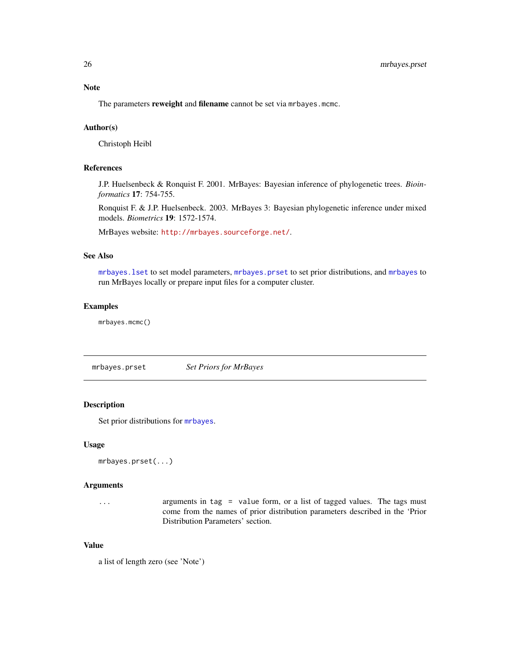# <span id="page-25-0"></span>Note

The parameters reweight and filename cannot be set via mrbayes.mcmc.

# Author(s)

Christoph Heibl

# References

J.P. Huelsenbeck & Ronquist F. 2001. MrBayes: Bayesian inference of phylogenetic trees. *Bioinformatics* 17: 754-755.

Ronquist F. & J.P. Huelsenbeck. 2003. MrBayes 3: Bayesian phylogenetic inference under mixed models. *Biometrics* 19: 1572-1574.

MrBayes website: <http://mrbayes.sourceforge.net/>.

# See Also

[mrbayes.lset](#page-22-1) to set model parameters, [mrbayes.prset](#page-25-1) to set prior distributions, and [mrbayes](#page-20-1) to run MrBayes locally or prepare input files for a computer cluster.

# Examples

mrbayes.mcmc()

<span id="page-25-1"></span>mrbayes.prset *Set Priors for MrBayes*

# Description

Set prior distributions for [mrbayes](#page-20-1).

# Usage

```
mrbayes.prset(...)
```
#### Arguments

... arguments in tag = value form, or a list of tagged values. The tags must come from the names of prior distribution parameters described in the 'Prior Distribution Parameters' section.

# Value

a list of length zero (see 'Note')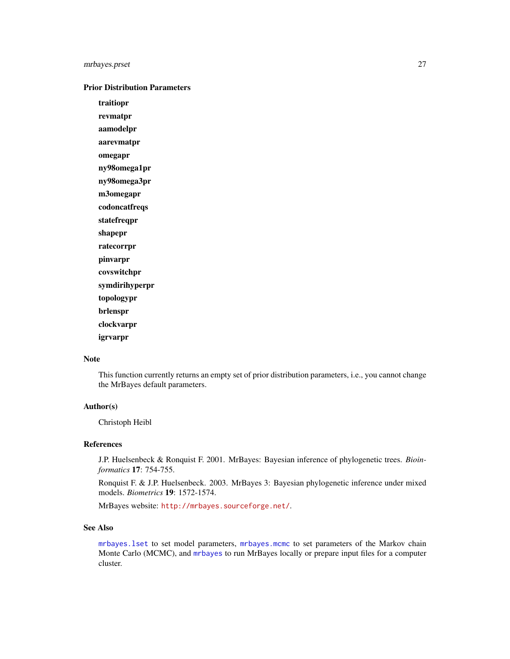# <span id="page-26-0"></span>mrbayes.prset 27

#### Prior Distribution Parameters

traitiopr

revmatpr

aamodelpr

aarevmatpr

omegapr

ny98omega1pr ny98omega3pr

m3omegapr

codoncatfreqs

statefreqpr

shapepr

ratecorrpr

pinvarpr covswitchpr

symdirihyperpr

topologypr

brlenspr

clockvarpr

igrvarpr

# Note

This function currently returns an empty set of prior distribution parameters, i.e., you cannot change the MrBayes default parameters.

# Author(s)

Christoph Heibl

# References

J.P. Huelsenbeck & Ronquist F. 2001. MrBayes: Bayesian inference of phylogenetic trees. *Bioinformatics* 17: 754-755.

Ronquist F. & J.P. Huelsenbeck. 2003. MrBayes 3: Bayesian phylogenetic inference under mixed models. *Biometrics* 19: 1572-1574.

MrBayes website: <http://mrbayes.sourceforge.net/>.

#### See Also

[mrbayes.lset](#page-22-1) to set model parameters, [mrbayes.mcmc](#page-23-1) to set parameters of the Markov chain Monte Carlo (MCMC), and [mrbayes](#page-20-1) to run MrBayes locally or prepare input files for a computer cluster.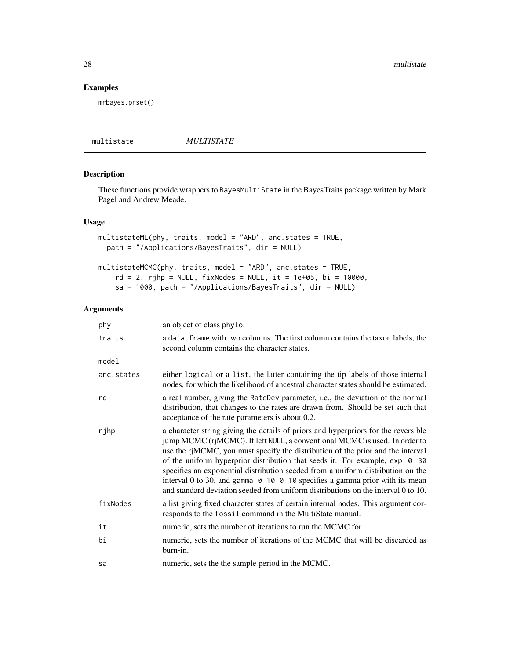# Examples

mrbayes.prset()

multistate *MULTISTATE*

# <span id="page-27-1"></span>Description

These functions provide wrappers to BayesMultiState in the BayesTraits package written by Mark Pagel and Andrew Meade.

#### Usage

```
multistateML(phy, traits, model = "ARD", anc.states = TRUE,
 path = "/Applications/BayesTraits", dir = NULL)
multistateMCMC(phy, traits, model = "ARD", anc.states = TRUE,
    rd = 2, rjhp = NULL, fixNodes = NULL, it = 1e+05, bi = 10000,
```
sa = 1000, path = "/Applications/BayesTraits", dir = NULL)

# Arguments

| phy        | an object of class phylo.                                                                                                                                                                                                                                                                                                                                                                                                                                                                                                                                                                               |
|------------|---------------------------------------------------------------------------------------------------------------------------------------------------------------------------------------------------------------------------------------------------------------------------------------------------------------------------------------------------------------------------------------------------------------------------------------------------------------------------------------------------------------------------------------------------------------------------------------------------------|
| traits     | a data. frame with two columns. The first column contains the taxon labels, the<br>second column contains the character states.                                                                                                                                                                                                                                                                                                                                                                                                                                                                         |
| model      |                                                                                                                                                                                                                                                                                                                                                                                                                                                                                                                                                                                                         |
| anc.states | either logical or a list, the latter containing the tip labels of those internal<br>nodes, for which the likelihood of ancestral character states should be estimated.                                                                                                                                                                                                                                                                                                                                                                                                                                  |
| rd         | a real number, giving the RateDev parameter, i.e., the deviation of the normal<br>distribution, that changes to the rates are drawn from. Should be set such that<br>acceptance of the rate parameters is about 0.2.                                                                                                                                                                                                                                                                                                                                                                                    |
| rjhp       | a character string giving the details of priors and hyperpriors for the reversible<br>jump MCMC (rjMCMC). If left NULL, a conventional MCMC is used. In order to<br>use the rjMCMC, you must specify the distribution of the prior and the interval<br>of the uniform hyperprior distribution that seeds it. For example, exp 0 30<br>specifies an exponential distribution seeded from a uniform distribution on the<br>interval 0 to 30, and gamma $\theta$ 10 $\theta$ 10 specifies a gamma prior with its mean<br>and standard deviation seeded from uniform distributions on the interval 0 to 10. |
| fixNodes   | a list giving fixed character states of certain internal nodes. This argument cor-<br>responds to the fossil command in the MultiState manual.                                                                                                                                                                                                                                                                                                                                                                                                                                                          |
| it         | numeric, sets the number of iterations to run the MCMC for.                                                                                                                                                                                                                                                                                                                                                                                                                                                                                                                                             |
| bi         | numeric, sets the number of iterations of the MCMC that will be discarded as<br>burn-in.                                                                                                                                                                                                                                                                                                                                                                                                                                                                                                                |
| sa         | numeric, sets the the sample period in the MCMC.                                                                                                                                                                                                                                                                                                                                                                                                                                                                                                                                                        |

<span id="page-27-0"></span>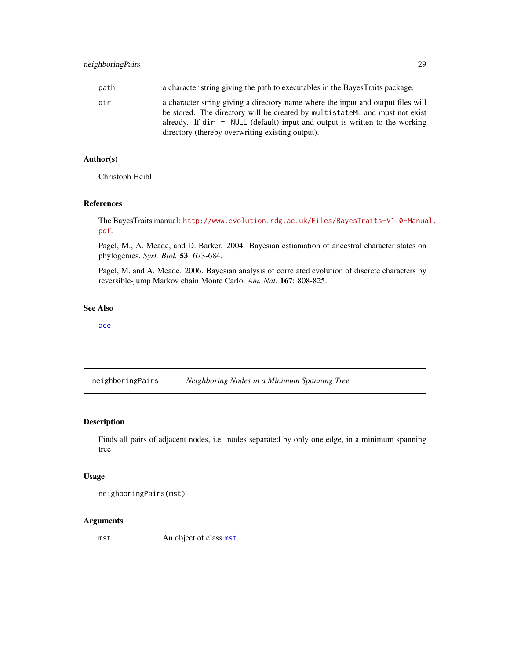# <span id="page-28-0"></span>neighboringPairs 29

| path | a character string giving the path to executables in the Bayes Traits package.                                                                                                                                                                                                                                      |
|------|---------------------------------------------------------------------------------------------------------------------------------------------------------------------------------------------------------------------------------------------------------------------------------------------------------------------|
| dir  | a character string giving a directory name where the input and output files will<br>be stored. The directory will be created by multistate ML and must not exist<br>already. If $\text{dir} = \text{NULL}$ (default) input and output is written to the working<br>directory (thereby overwriting existing output). |

# Author(s)

Christoph Heibl

#### References

The BayesTraits manual: [http://www.evolution.rdg.ac.uk/Files/BayesTraits-V1.0-Manua](http://www.evolution.rdg.ac.uk/Files/BayesTraits-V1.0-Manual.pdf)l. [pdf](http://www.evolution.rdg.ac.uk/Files/BayesTraits-V1.0-Manual.pdf).

Pagel, M., A. Meade, and D. Barker. 2004. Bayesian estiamation of ancestral character states on phylogenies. *Syst. Biol.* 53: 673-684.

Pagel, M. and A. Meade. 2006. Bayesian analysis of correlated evolution of discrete characters by reversible-jump Markov chain Monte Carlo. *Am. Nat.* 167: 808-825.

# See Also

[ace](#page-0-0)

neighboringPairs *Neighboring Nodes in a Minimum Spanning Tree*

# Description

Finds all pairs of adjacent nodes, i.e. nodes separated by only one edge, in a minimum spanning tree

# Usage

neighboringPairs(mst)

# Arguments

[mst](#page-0-0) An object of class mst.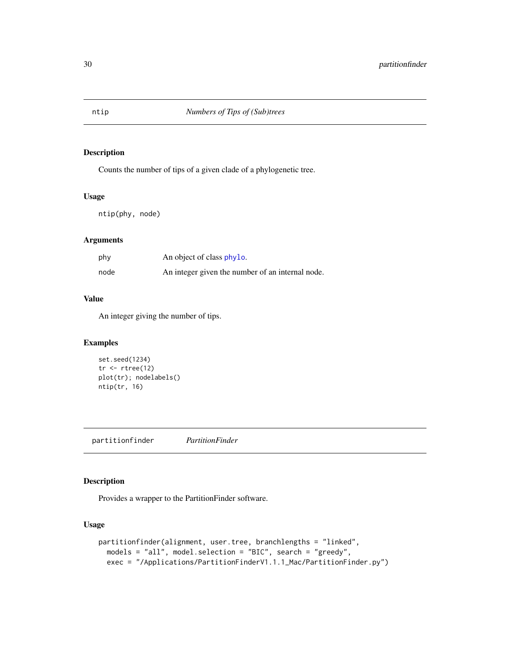<span id="page-29-0"></span>

# Description

Counts the number of tips of a given clade of a phylogenetic tree.

# Usage

ntip(phy, node)

# Arguments

| phy  | An object of class phylo.                        |
|------|--------------------------------------------------|
| node | An integer given the number of an internal node. |

# Value

An integer giving the number of tips.

# Examples

```
set.seed(1234)
tr < -rtree(12)plot(tr); nodelabels()
ntip(tr, 16)
```
partitionfinder *PartitionFinder*

# Description

Provides a wrapper to the PartitionFinder software.

#### Usage

```
partitionfinder(alignment, user.tree, branchlengths = "linked",
 models = "all", model.selection = "BIC", search = "greedy",
 exec = "/Applications/PartitionFinderV1.1.1_Mac/PartitionFinder.py")
```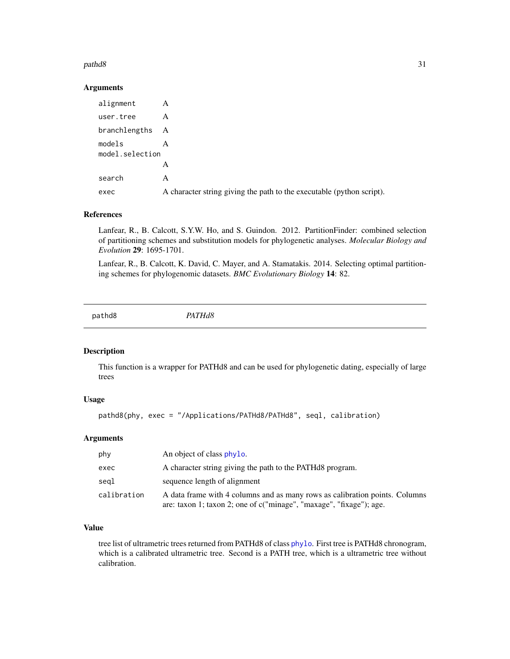#### <span id="page-30-0"></span>pathd8 31

# Arguments

| alignment                 | A                                                                     |
|---------------------------|-----------------------------------------------------------------------|
| user.tree                 | A                                                                     |
| branchlengths A           |                                                                       |
| models<br>model.selection | A                                                                     |
|                           | A                                                                     |
| search                    | A                                                                     |
| exec                      | A character string giving the path to the executable (python script). |

# References

Lanfear, R., B. Calcott, S.Y.W. Ho, and S. Guindon. 2012. PartitionFinder: combined selection of partitioning schemes and substitution models for phylogenetic analyses. *Molecular Biology and Evolution* 29: 1695-1701.

Lanfear, R., B. Calcott, K. David, C. Mayer, and A. Stamatakis. 2014. Selecting optimal partitioning schemes for phylogenomic datasets. *BMC Evolutionary Biology* 14: 82.

pathd8 *PATHd8*

#### Description

This function is a wrapper for PATHd8 and can be used for phylogenetic dating, especially of large trees

#### Usage

```
pathd8(phy, exec = "/Applications/PATHd8/PATHd8", seql, calibration)
```
# Arguments

| phy         | An object of class phylo.                                                                                                                          |
|-------------|----------------------------------------------------------------------------------------------------------------------------------------------------|
| exec        | A character string giving the path to the PATHd8 program.                                                                                          |
| segl        | sequence length of alignment                                                                                                                       |
| calibration | A data frame with 4 columns and as many rows as calibration points. Columns<br>are: taxon 1; taxon 2; one of c("minage", "maxage", "fixage"); age. |

# Value

tree list of ultrametric trees returned from PATHd8 of class [phylo](#page-0-0). First tree is PATHd8 chronogram, which is a calibrated ultrametric tree. Second is a PATH tree, which is a ultrametric tree without calibration.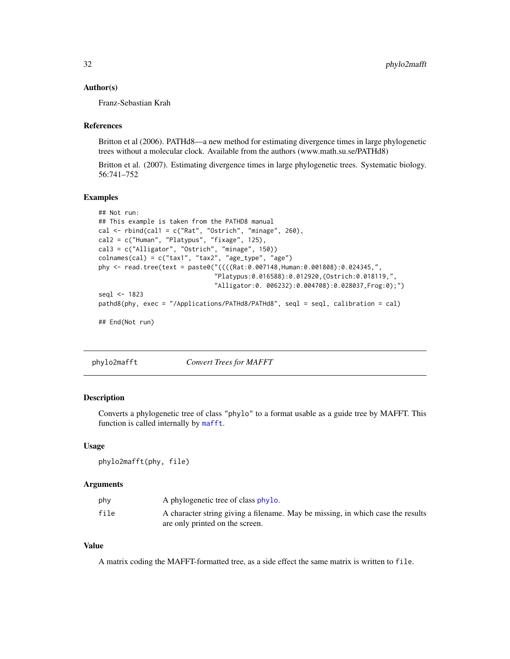#### <span id="page-31-0"></span>Author(s)

Franz-Sebastian Krah

#### References

Britton et al (2006). PATHd8—a new method for estimating divergence times in large phylogenetic trees without a molecular clock. Available from the authors (www.math.su.se/PATHd8)

Britton et al. (2007). Estimating divergence times in large phylogenetic trees. Systematic biology. 56:741–752

#### Examples

```
## Not run:
## This example is taken from the PATHD8 manual
cal \le- rbind(cal1 = c("Rat", "Ostrich", "minage", 260),
cal2 = c("Human", "Platypus", "fixage", 125),
cal3 = c("Alligator", "Ostrich", "minage", 150))
\text{columns}(\text{cal}) = \text{c("tax1", "tax2", "age_type", "age")}phy <- read.tree(text = paste0("((((Rat:0.007148,Human:0.001808):0.024345,",
                                "Platypus:0.016588):0.012920,(Ostrich:0.018119,",
                                "Alligator:0. 006232):0.004708):0.028037,Frog:0);")
seql <- 1823
pathd8(phy, exec = "/Applications/PATHd8/PATHd8", seql = seql, calibration = cal)
## End(Not run)
```
phylo2mafft *Convert Trees for MAFFT*

# Description

Converts a phylogenetic tree of class "phylo" to a format usable as a guide tree by MAFFT. This function is called internally by [mafft](#page-18-1).

#### Usage

```
phylo2mafft(phy, file)
```
#### **Arguments**

| phy  | A phylogenetic tree of class phylo.                                             |
|------|---------------------------------------------------------------------------------|
| file | A character string giving a filename. May be missing, in which case the results |
|      | are only printed on the screen.                                                 |

# Value

A matrix coding the MAFFT-formatted tree, as a side effect the same matrix is written to file.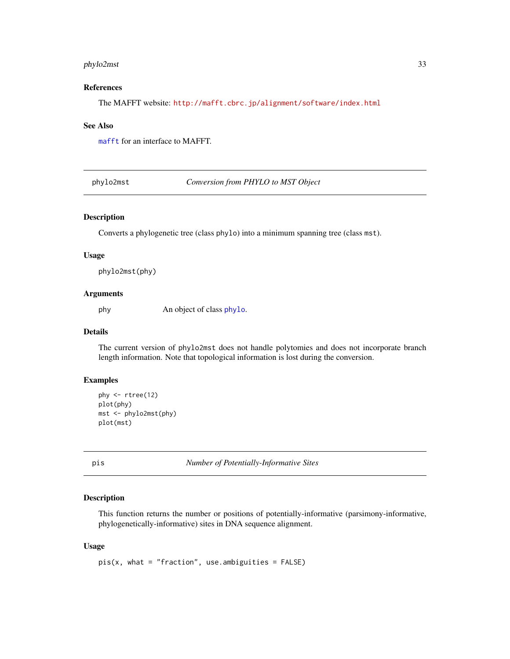# <span id="page-32-0"></span>phylo2mst 33

#### References

The MAFFT website: <http://mafft.cbrc.jp/alignment/software/index.html>

# See Also

[mafft](#page-18-1) for an interface to MAFFT.

phylo2mst *Conversion from PHYLO to MST Object*

#### Description

Converts a phylogenetic tree (class phylo) into a minimum spanning tree (class mst).

# Usage

phylo2mst(phy)

#### Arguments

phy An object of class [phylo](#page-0-0).

#### Details

The current version of phylo2mst does not handle polytomies and does not incorporate branch length information. Note that topological information is lost during the conversion.

# Examples

```
phy <- rtree(12)
plot(phy)
mst <- phylo2mst(phy)
plot(mst)
```
pis *Number of Potentially-Informative Sites*

#### Description

This function returns the number or positions of potentially-informative (parsimony-informative, phylogenetically-informative) sites in DNA sequence alignment.

#### Usage

 $pis(x, what = "fraction", use. ambiguities = FALSE)$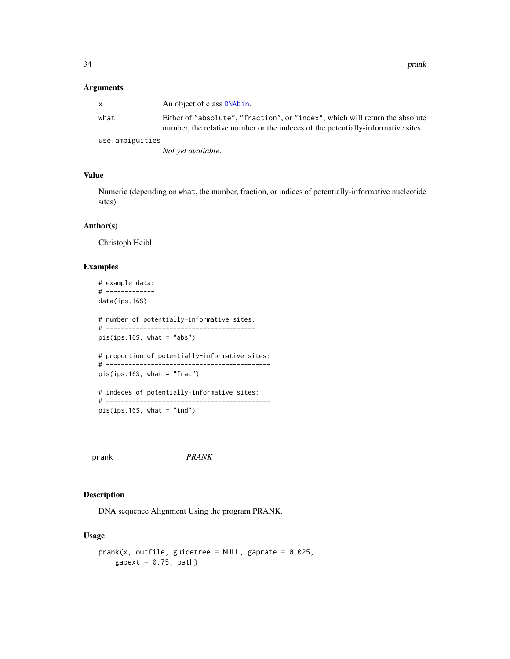<span id="page-33-0"></span>34 prank

#### Arguments

|                 | An object of class DNAbin.                                                                                                                                       |
|-----------------|------------------------------------------------------------------------------------------------------------------------------------------------------------------|
| what            | Either of "absolute", "fraction", or "index", which will return the absolute<br>number, the relative number or the indeces of the potentially-informative sites. |
| use.ambiguities |                                                                                                                                                                  |
|                 | Not yet available.                                                                                                                                               |

# Value

Numeric (depending on what, the number, fraction, or indices of potentially-informative nucleotide sites).

#### Author(s)

Christoph Heibl

### Examples

```
# example data:
# -------------
data(ips.16S)
# number of potentially-informative sites:
# ----------------------------------------
pis(ips.16S, what = "abs")
# proportion of potentially-informative sites:
# --------------------------------------------
pis(ips.16S, what = "frac")
# indeces of potentially-informative sites:
# --------------------------------------------
pis(ips.16S, what = "ind")
```
# <span id="page-33-1"></span>prank *PRANK*

# Description

DNA sequence Alignment Using the program PRANK.

# Usage

```
prank(x, outfile, guidetree = NULL, gaprate = 0.025,
    gapext = 0.75, path)
```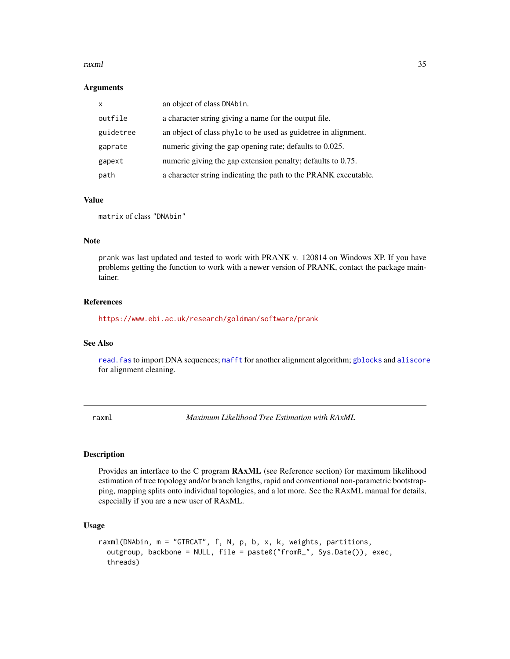#### <span id="page-34-0"></span>raxml 35

#### **Arguments**

| $\mathsf{x}$ | an object of class DNAbin.                                      |
|--------------|-----------------------------------------------------------------|
| outfile      | a character string giving a name for the output file.           |
| guidetree    | an object of class phylo to be used as guidetree in alignment.  |
| gaprate      | numeric giving the gap opening rate; defaults to 0.025.         |
| gapext       | numeric giving the gap extension penalty; defaults to 0.75.     |
| path         | a character string indicating the path to the PRANK executable. |

#### Value

matrix of class "DNAbin"

#### Note

prank was last updated and tested to work with PRANK v. 120814 on Windows XP. If you have problems getting the function to work with a newer version of PRANK, contact the package maintainer.

# References

<https://www.ebi.ac.uk/research/goldman/software/prank>

#### See Also

[read.fas](#page-39-1) to import DNA sequences; [mafft](#page-18-1) for another alignment algorithm; [gblocks](#page-13-1) and [aliscore](#page-2-1) for alignment cleaning.

<span id="page-34-1"></span>raxml *Maximum Likelihood Tree Estimation with RAxML*

#### Description

Provides an interface to the C program RAxML (see Reference section) for maximum likelihood estimation of tree topology and/or branch lengths, rapid and conventional non-parametric bootstrapping, mapping splits onto individual topologies, and a lot more. See the RAxML manual for details, especially if you are a new user of RAxML.

# Usage

```
raxml(DNAbin, m = "GTRCAT", f, N, p, b, x, k, weights, partitions,
 outgroup, backbone = NULL, file = paste0("fromR_", Sys.Date()), exec,
  threads)
```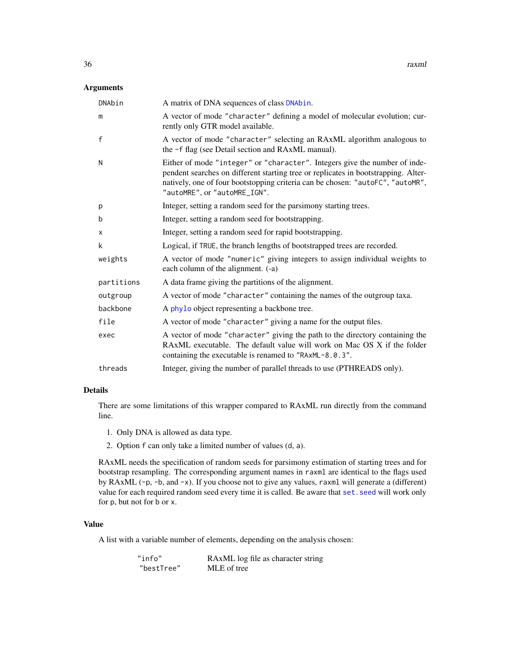#### <span id="page-35-0"></span>Arguments

| DNAbin       | A matrix of DNA sequences of class DNAbin.                                                                                                                                                                                                                                         |
|--------------|------------------------------------------------------------------------------------------------------------------------------------------------------------------------------------------------------------------------------------------------------------------------------------|
| m            | A vector of mode "character" defining a model of molecular evolution; cur-<br>rently only GTR model available.                                                                                                                                                                     |
| $\mathsf{f}$ | A vector of mode "character" selecting an RAxML algorithm analogous to<br>the -f flag (see Detail section and RAxML manual).                                                                                                                                                       |
| N            | Either of mode "integer" or "character". Integers give the number of inde-<br>pendent searches on different starting tree or replicates in bootstrapping. Alter-<br>natively, one of four bootstopping criteria can be chosen: "autoFC", "autoMR",<br>"autoMRE", or "autoMRE_IGN". |
| p            | Integer, setting a random seed for the parsimony starting trees.                                                                                                                                                                                                                   |
| b            | Integer, setting a random seed for bootstrapping.                                                                                                                                                                                                                                  |
| x            | Integer, setting a random seed for rapid bootstrapping.                                                                                                                                                                                                                            |
| k            | Logical, if TRUE, the branch lengths of bootstrapped trees are recorded.                                                                                                                                                                                                           |
| weights      | A vector of mode "numeric" giving integers to assign individual weights to<br>each column of the alignment. (-a)                                                                                                                                                                   |
| partitions   | A data frame giving the partitions of the alignment.                                                                                                                                                                                                                               |
| outgroup     | A vector of mode "character" containing the names of the outgroup taxa.                                                                                                                                                                                                            |
| backbone     | A phylo object representing a backbone tree.                                                                                                                                                                                                                                       |
| file         | A vector of mode "character" giving a name for the output files.                                                                                                                                                                                                                   |
| exec         | A vector of mode "character" giving the path to the directory containing the<br>RAxML executable. The default value will work on Mac OS X if the folder<br>containing the executable is renamed to "RAxML-8.0.3".                                                                  |
| threads      | Integer, giving the number of parallel threads to use (PTHREADS only).                                                                                                                                                                                                             |

### Details

There are some limitations of this wrapper compared to RAxML run directly from the command line.

- 1. Only DNA is allowed as data type.
- 2. Option f can only take a limited number of values (d, a).

RAxML needs the specification of random seeds for parsimony estimation of starting trees and for bootstrap resampling. The corresponding argument names in raxml are identical to the flags used by RAxML (-p, -b, and -x). If you choose not to give any values, raxml will generate a (different) value for each required random seed every time it is called. Be aware that [set.seed](#page-0-0) will work only for p, but not for b or x.

# Value

A list with a variable number of elements, depending on the analysis chosen:

| "info"     | RAXML log file as character string |
|------------|------------------------------------|
| "bestTree" | MLE of tree                        |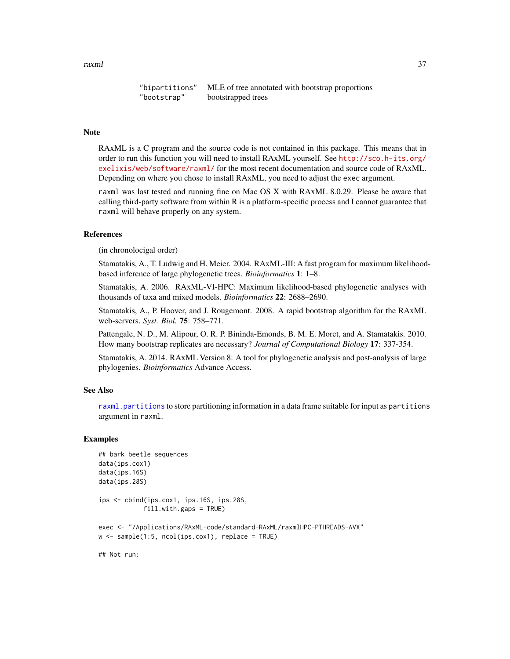<span id="page-36-0"></span>raxml 37

```
"bipartitions" MLE of tree annotated with bootstrap proportions
"bootstrap" bootstrapped trees
```
# **Note**

RAxML is a C program and the source code is not contained in this package. This means that in order to run this function you will need to install RAxML yourself. See [http://sco.h-its.org/](http://sco.h-its.org/exelixis/web/software/raxml/) [exelixis/web/software/raxml/](http://sco.h-its.org/exelixis/web/software/raxml/) for the most recent documentation and source code of RAxML. Depending on where you chose to install RAxML, you need to adjust the exec argument.

raxml was last tested and running fine on Mac OS X with RAxML 8.0.29. Please be aware that calling third-party software from within R is a platform-specific process and I cannot guarantee that raxml will behave properly on any system.

#### References

(in chronolocigal order)

Stamatakis, A., T. Ludwig and H. Meier. 2004. RAxML-III: A fast program for maximum likelihoodbased inference of large phylogenetic trees. *Bioinformatics* 1: 1–8.

Stamatakis, A. 2006. RAxML-VI-HPC: Maximum likelihood-based phylogenetic analyses with thousands of taxa and mixed models. *Bioinformatics* 22: 2688–2690.

Stamatakis, A., P. Hoover, and J. Rougemont. 2008. A rapid bootstrap algorithm for the RAxML web-servers. *Syst. Biol.* 75: 758–771.

Pattengale, N. D., M. Alipour, O. R. P. Bininda-Emonds, B. M. E. Moret, and A. Stamatakis. 2010. How many bootstrap replicates are necessary? *Journal of Computational Biology* 17: 337-354.

Stamatakis, A. 2014. RAxML Version 8: A tool for phylogenetic analysis and post-analysis of large phylogenies. *Bioinformatics* Advance Access.

#### See Also

[raxml.partitions](#page-37-1) to store partitioning information in a data frame suitable for input as partitions argument in raxml.

#### Examples

```
## bark beetle sequences
data(ips.cox1)
data(ips.16S)
data(ips.28S)
ips <- cbind(ips.cox1, ips.16S, ips.28S,
            fill.with.gaps = TRUE)
exec <- "/Applications/RAxML-code/standard-RAxML/raxmlHPC-PTHREADS-AVX"
w \leq - sample(1:5, ncol(ips.cox1), replace = TRUE)
## Not run:
```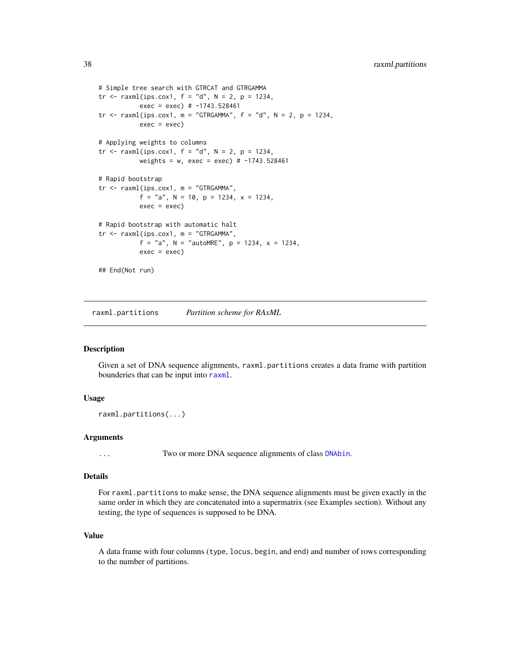```
# Simple tree search with GTRCAT and GTRGAMMA
tr < -r \, \text{axml}(ips.cox1, f = "d", N = 2, p = 1234,exec = exec) # -1743.528461
tr \le raxml(ips.cox1, m = "GTRGAMMA", f = "d", N = 2, p = 1234,
           exec = exec)# Applying weights to columns
tr < -r \, \text{axml}(ips.cox1, f = "d", N = 2, p = 1234,weights = w, exec = exec) # -1743.528461
# Rapid bootstrap
tr <- raxml(ips.cox1, m = "GTRGAMMA",
           f = "a", N = 10, p = 1234, x = 1234,exec = exec)# Rapid bootstrap with automatic halt
tr <- raxml(ips.cox1, m = "GTRGAMMA",
           f = "a", N = "autoMRE", p = 1234, x = 1234,
           exec = exec)## End(Not run)
```
<span id="page-37-1"></span>raxml.partitions *Partition scheme for RAxML*

#### Description

Given a set of DNA sequence alignments, raxml.partitions creates a data frame with partition bounderies that can be input into [raxml](#page-34-1).

#### Usage

```
raxml.partitions(...)
```
#### Arguments

... Two or more DNA sequence alignments of class [DNAbin](#page-0-0).

#### Details

For raxml.partitions to make sense, the DNA sequence alignments must be given exactly in the same order in which they are concatenated into a supermatrix (see Examples section). Without any testing, the type of sequences is supposed to be DNA.

#### Value

A data frame with four columns (type, locus, begin, and end) and number of rows corresponding to the number of partitions.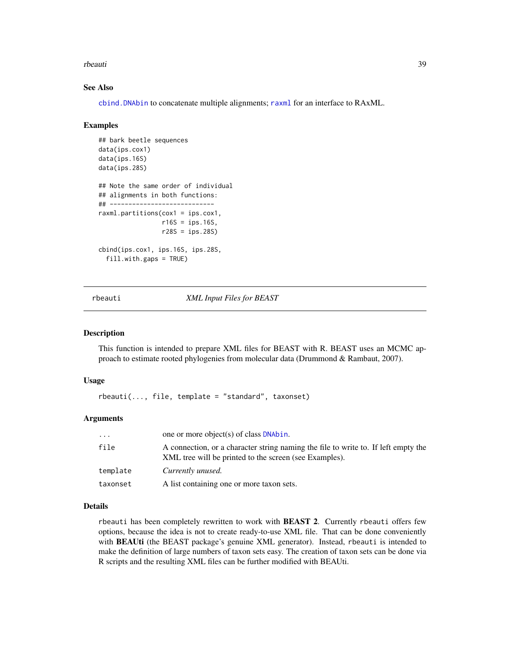#### <span id="page-38-0"></span>rbeauti and the state of the state of the state of the state of the state of the state of the state of the state of the state of the state of the state of the state of the state of the state of the state of the state of th

#### See Also

[cbind.DNAbin](#page-0-0) to concatenate multiple alignments; [raxml](#page-34-1) for an interface to RAxML.

#### Examples

```
## bark beetle sequences
data(ips.cox1)
data(ips.16S)
data(ips.28S)
## Note the same order of individual
## alignments in both functions:
## ----------------------------
raxml.partitions(cox1 = ips.cox1,
                 r16S = ips.16S,
                 r28S = ips.28S)
cbind(ips.cox1, ips.16S, ips.28S,
 fill.with.gaps = TRUE)
```
<span id="page-38-1"></span>rbeauti *XML Input Files for BEAST*

#### Description

This function is intended to prepare XML files for BEAST with R. BEAST uses an MCMC approach to estimate rooted phylogenies from molecular data (Drummond & Rambaut, 2007).

#### Usage

 $rbeauti(..., file, template = "standard", taxonset)$ 

#### Arguments

| $\cdot$ $\cdot$ $\cdot$ | one or more object(s) of class <b>DNAbin.</b>                                                                                                |
|-------------------------|----------------------------------------------------------------------------------------------------------------------------------------------|
| file                    | A connection, or a character string naming the file to write to. If left empty the<br>XML tree will be printed to the screen (see Examples). |
| template                | Currently unused.                                                                                                                            |
| taxonset                | A list containing one or more taxon sets.                                                                                                    |

#### Details

rbeauti has been completely rewritten to work with **BEAST 2**. Currently rbeauti offers few options, because the idea is not to create ready-to-use XML file. That can be done conveniently with **BEAUti** (the BEAST package's genuine XML generator). Instead, rbeauti is intended to make the definition of large numbers of taxon sets easy. The creation of taxon sets can be done via R scripts and the resulting XML files can be further modified with BEAUti.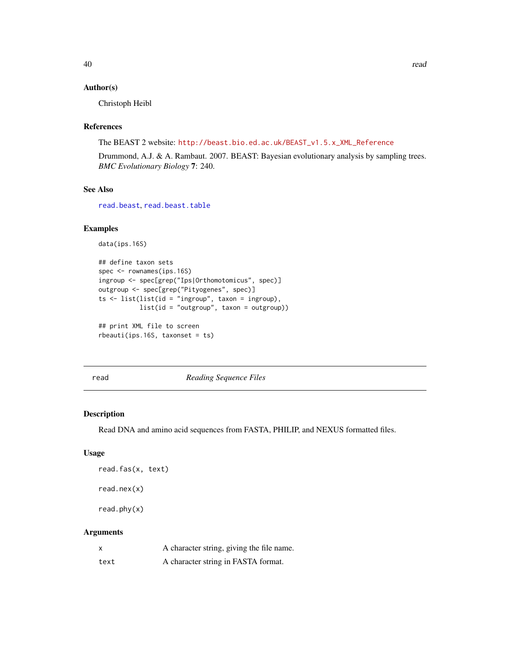# <span id="page-39-0"></span>Author(s)

Christoph Heibl

# References

The BEAST 2 website: [http://beast.bio.ed.ac.uk/BEAST\\_v1.5.x\\_XML\\_Reference](http://beast.bio.ed.ac.uk/BEAST_v1.5.x_XML_Reference)

Drummond, A.J. & A. Rambaut. 2007. BEAST: Bayesian evolutionary analysis by sampling trees. *BMC Evolutionary Biology* 7: 240.

# See Also

[read.beast](#page-40-1), [read.beast.table](#page-41-1)

# Examples

```
data(ips.16S)
```

```
## define taxon sets
spec <- rownames(ips.16S)
ingroup <- spec[grep("Ips|Orthomotomicus", spec)]
outgroup <- spec[grep("Pityogenes", spec)]
ts \leftarrow list(list(id = "ingroup", taxon = ingroup),
           list(id = "outgroup", taxon = outgroup))
## print XML file to screen
```

```
rbeauti(ips.16S, taxonset = ts)
```
read *Reading Sequence Files*

# <span id="page-39-1"></span>Description

Read DNA and amino acid sequences from FASTA, PHILIP, and NEXUS formatted files.

# Usage

```
read.fas(x, text)
read.nex(x)
read.phy(x)
```
# Arguments

| $\boldsymbol{\mathsf{x}}$ | A character string, giving the file name. |
|---------------------------|-------------------------------------------|
| text                      | A character string in FASTA format.       |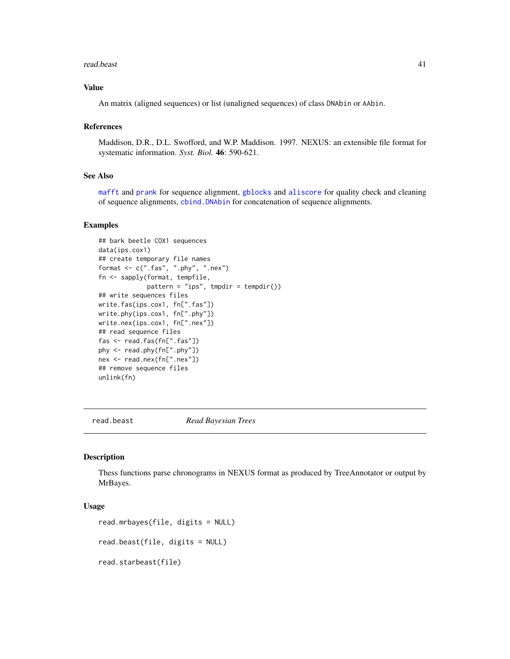#### <span id="page-40-0"></span>read.beast 41

# Value

An matrix (aligned sequences) or list (unaligned sequences) of class DNAbin or AAbin.

#### References

Maddison, D.R., D.L. Swofford, and W.P. Maddison. 1997. NEXUS: an extensible file format for systematic information. *Syst. Biol.* 46: 590-621.

#### See Also

[mafft](#page-18-1) and [prank](#page-33-1) for sequence alignment, [gblocks](#page-13-1) and [aliscore](#page-2-1) for quality check and cleaning of sequence alignments, [cbind.DNAbin](#page-0-0) for concatenation of sequence alignments.

# Examples

```
## bark beetle COX1 sequences
data(ips.cox1)
## create temporary file names
format <- c(".fas", ".phy", ".nex")
fn <- sapply(format, tempfile,
             pattern = "ips", tmpdir = tempdir())
## write sequences files
write.fas(ips.cox1, fn[".fas"])
write.phy(ips.cox1, fn[".phy"])
write.nex(ips.cox1, fn[".nex"])
## read sequence files
fas <- read.fas(fn[".fas"])
phy <- read.phy(fn[".phy"])
nex <- read.nex(fn[".nex"])
## remove sequence files
unlink(fn)
```
<span id="page-40-1"></span>read.beast *Read Bayesian Trees*

#### Description

Thess functions parse chronograms in NEXUS format as produced by TreeAnnotator or output by MrBayes.

#### Usage

```
read.mrbayes(file, digits = NULL)
```

```
read.beast(file, digits = NULL)
```
read.starbeast(file)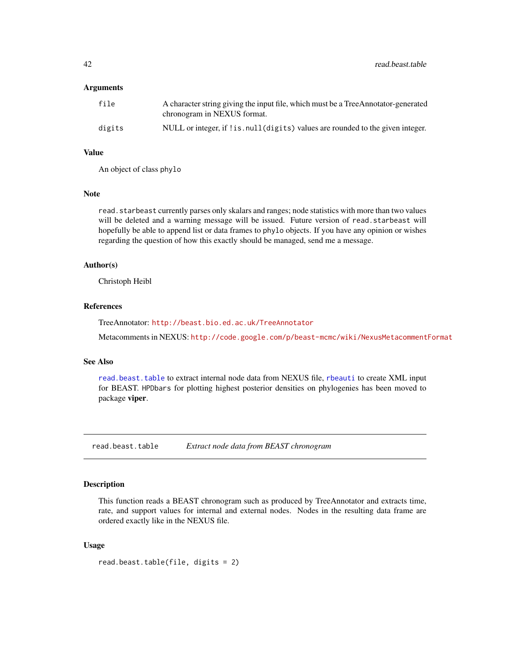#### <span id="page-41-0"></span>**Arguments**

| file   | A character string giving the input file, which must be a TreeAnnotator-generated<br>chronogram in NEXUS format. |
|--------|------------------------------------------------------------------------------------------------------------------|
| digits | NULL or integer, if ! is. null (digits) values are rounded to the given integer.                                 |

# Value

An object of class phylo

# Note

read. starbeast currently parses only skalars and ranges; node statistics with more than two values will be deleted and a warning message will be issued. Future version of read.starbeast will hopefully be able to append list or data frames to phylo objects. If you have any opinion or wishes regarding the question of how this exactly should be managed, send me a message.

#### Author(s)

Christoph Heibl

# References

TreeAnnotator: <http://beast.bio.ed.ac.uk/TreeAnnotator> Metacomments in NEXUS: <http://code.google.com/p/beast-mcmc/wiki/NexusMetacommentFormat>

#### See Also

[read.beast.table](#page-41-1) to extract internal node data from NEXUS file, [rbeauti](#page-38-1) to create XML input for BEAST. HPDbars for plotting highest posterior densities on phylogenies has been moved to package viper.

<span id="page-41-1"></span>read.beast.table *Extract node data from BEAST chronogram*

#### Description

This function reads a BEAST chronogram such as produced by TreeAnnotator and extracts time, rate, and support values for internal and external nodes. Nodes in the resulting data frame are ordered exactly like in the NEXUS file.

#### Usage

```
read.beast.table(file, digits = 2)
```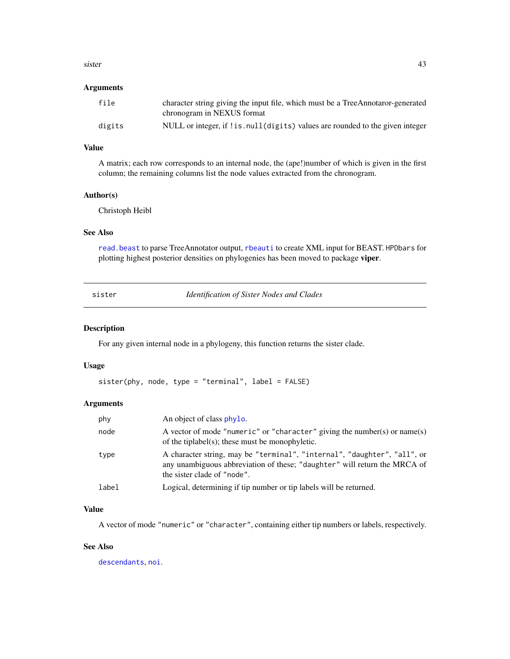#### <span id="page-42-0"></span>sister and the state of the state of the state of the state of the state of the state of the state of the state of the state of the state of the state of the state of the state of the state of the state of the state of the

#### Arguments

| file   | character string giving the input file, which must be a TreeAnnotaror-generated<br>chronogram in NEXUS format |
|--------|---------------------------------------------------------------------------------------------------------------|
| digits | NULL or integer, if ! is . null (digits) values are rounded to the given integer                              |

# Value

A matrix; each row corresponds to an internal node, the (ape!)number of which is given in the first column; the remaining columns list the node values extracted from the chronogram.

#### Author(s)

Christoph Heibl

# See Also

[read.beast](#page-40-1) to parse TreeAnnotator output, [rbeauti](#page-38-1) to create XML input for BEAST. HPDbars for plotting highest posterior densities on phylogenies has been moved to package viper.

<span id="page-42-1"></span>sister *Identification of Sister Nodes and Clades*

# Description

For any given internal node in a phylogeny, this function returns the sister clade.

#### Usage

```
sister(phy, node, type = "terminal", label = FALSE)
```
# Arguments

| phy   | An object of class phylo.                                                                                                                                                            |
|-------|--------------------------------------------------------------------------------------------------------------------------------------------------------------------------------------|
| node  | A vector of mode "numeric" or "character" giving the number(s) or name(s)<br>of the tiplabel(s); these must be monophyletic.                                                         |
| type  | A character string, may be "terminal", "internal", "daughter", "all", or<br>any unambiguous abbreviation of these; "daughter" will return the MRCA of<br>the sister clade of "node". |
| label | Logical, determining if tip number or tip labels will be returned.                                                                                                                   |

# Value

A vector of mode "numeric" or "character", containing either tip numbers or labels, respectively.

#### See Also

[descendants](#page-8-1), [noi](#page-9-1).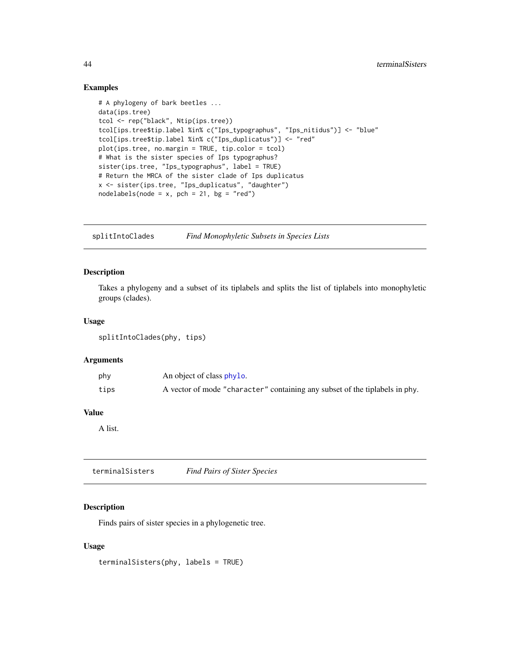# <span id="page-43-0"></span>Examples

```
# A phylogeny of bark beetles ...
data(ips.tree)
tcol <- rep("black", Ntip(ips.tree))
tcol[ips.tree$tip.label %in% c("Ips_typographus", "Ips_nitidus")] <- "blue"
tcol[ips.tree$tip.label %in% c("Ips_duplicatus")] <- "red"
plot(ips.tree, no.margin = TRUE, tip.color = tcol)
# What is the sister species of Ips typographus?
sister(ips.tree, "Ips_typographus", label = TRUE)
# Return the MRCA of the sister clade of Ips duplicatus
x <- sister(ips.tree, "Ips_duplicatus", "daughter")
nodelabels(node = x, pch = 21, bg = "red")
```
splitIntoClades *Find Monophyletic Subsets in Species Lists*

#### Description

Takes a phylogeny and a subset of its tiplabels and splits the list of tiplabels into monophyletic groups (clades).

# Usage

splitIntoClades(phy, tips)

#### Arguments

| phy  | An object of class phylo.                                                   |
|------|-----------------------------------------------------------------------------|
| tips | A vector of mode "character" containing any subset of the tiplabels in phy. |

# Value

A list.

terminalSisters *Find Pairs of Sister Species*

# Description

Finds pairs of sister species in a phylogenetic tree.

#### Usage

terminalSisters(phy, labels = TRUE)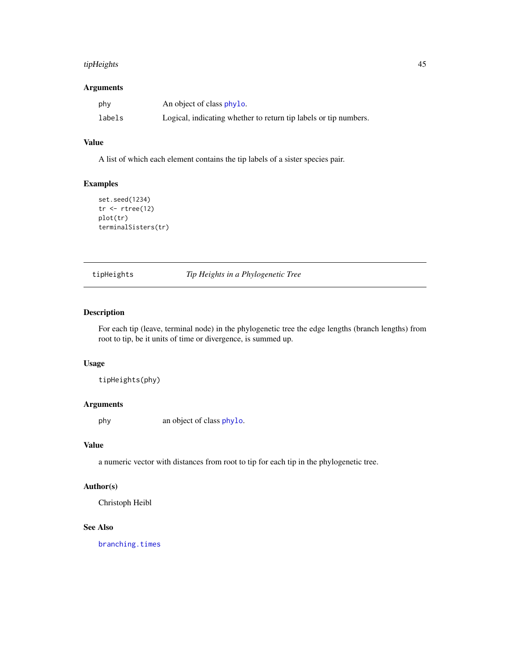# <span id="page-44-0"></span>tipHeights 45

# Arguments

| phy    | An object of class phylo.                                        |
|--------|------------------------------------------------------------------|
| labels | Logical, indicating whether to return tip labels or tip numbers. |

# Value

A list of which each element contains the tip labels of a sister species pair.

# Examples

```
set.seed(1234)
tr < -rtree(12)plot(tr)
terminalSisters(tr)
```
<span id="page-44-1"></span>tipHeights *Tip Heights in a Phylogenetic Tree*

# Description

For each tip (leave, terminal node) in the phylogenetic tree the edge lengths (branch lengths) from root to tip, be it units of time or divergence, is summed up.

# Usage

tipHeights(phy)

# Arguments

phy an object of class [phylo](#page-0-0).

# Value

a numeric vector with distances from root to tip for each tip in the phylogenetic tree.

# Author(s)

Christoph Heibl

# See Also

[branching.times](#page-0-0)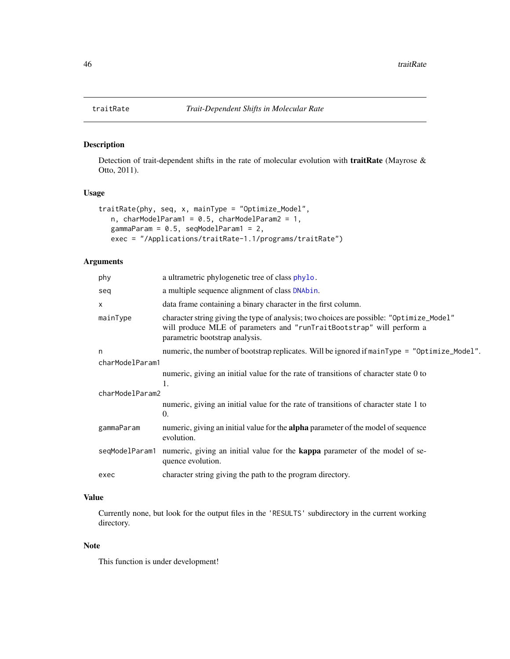# Description

Detection of trait-dependent shifts in the rate of molecular evolution with traitRate (Mayrose & Otto, 2011).

# Usage

```
traitRate(phy, seq, x, mainType = "Optimize_Model",
  n, charModelParam1 = 0.5, charModelParam2 = 1,
  gammaParam = 0.5, seqModelParam1 = 2,
  exec = "/Applications/traitRate-1.1/programs/traitRate")
```
# Arguments

| phy             | a ultrametric phylogenetic tree of class phylo.                                                                                                                                                     |  |
|-----------------|-----------------------------------------------------------------------------------------------------------------------------------------------------------------------------------------------------|--|
| seq             | a multiple sequence alignment of class DNAbin.                                                                                                                                                      |  |
| $\times$        | data frame containing a binary character in the first column.                                                                                                                                       |  |
| mainType        | character string giving the type of analysis; two choices are possible: "Optimize_Model"<br>will produce MLE of parameters and "runTraitBootstrap" will perform a<br>parametric bootstrap analysis. |  |
| n               | numeric, the number of bootstrap replicates. Will be ignored if $mainType = "Optimize_model".$                                                                                                      |  |
| charModelParam1 |                                                                                                                                                                                                     |  |
|                 | numeric, giving an initial value for the rate of transitions of character state 0 to<br>1.                                                                                                          |  |
| charModelParam2 |                                                                                                                                                                                                     |  |
|                 | numeric, giving an initial value for the rate of transitions of character state 1 to<br>0.                                                                                                          |  |
| gammaParam      | numeric, giving an initial value for the <b>alpha</b> parameter of the model of sequence<br>evolution.                                                                                              |  |
| segModelParam1  | numeric, giving an initial value for the <b>kappa</b> parameter of the model of se-<br>quence evolution.                                                                                            |  |
| exec            | character string giving the path to the program directory.                                                                                                                                          |  |
|                 |                                                                                                                                                                                                     |  |

# Value

Currently none, but look for the output files in the 'RESULTS' subdirectory in the current working directory.

#### Note

This function is under development!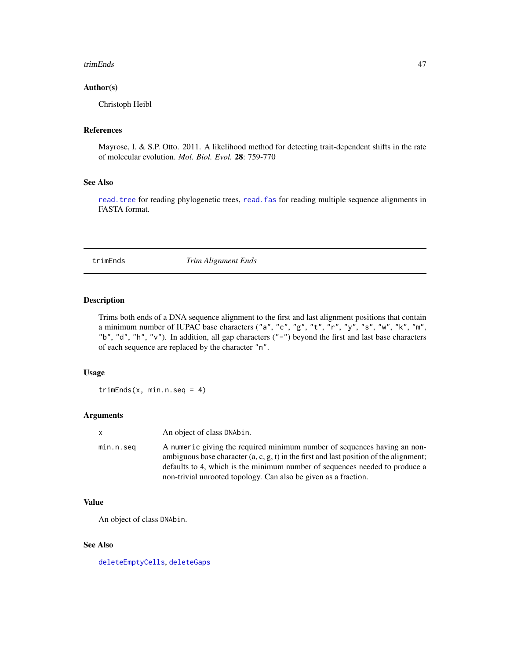#### <span id="page-46-0"></span>trimEnds 47

# Author(s)

Christoph Heibl

# References

Mayrose, I. & S.P. Otto. 2011. A likelihood method for detecting trait-dependent shifts in the rate of molecular evolution. *Mol. Biol. Evol.* 28: 759-770

# See Also

[read.tree](#page-0-0) for reading phylogenetic trees, [read.fas](#page-39-1) for reading multiple sequence alignments in FASTA format.

<span id="page-46-1"></span>trimEnds *Trim Alignment Ends*

#### Description

Trims both ends of a DNA sequence alignment to the first and last alignment positions that contain a minimum number of IUPAC base characters ("a", "c", "g", "t", "r", "y", "s", "w", "k", "m", "b", "d", "h", "v"). In addition, all gap characters ("-") beyond the first and last base characters of each sequence are replaced by the character "n".

# Usage

 $trimEnds(x, min.n.seq = 4)$ 

#### Arguments

| $\mathsf{x}$ | An object of class DNAbin.                                                                                                                                                                                                                                                                                           |
|--------------|----------------------------------------------------------------------------------------------------------------------------------------------------------------------------------------------------------------------------------------------------------------------------------------------------------------------|
| min.n.seq    | A numeric giving the required minimum number of sequences having an non-<br>ambiguous base character (a, c, g, t) in the first and last position of the alignment;<br>defaults to 4, which is the minimum number of sequences needed to produce a<br>non-trivial unrooted topology. Can also be given as a fraction. |

#### Value

An object of class DNAbin.

# See Also

[deleteEmptyCells](#page-6-1), [deleteGaps](#page-7-1)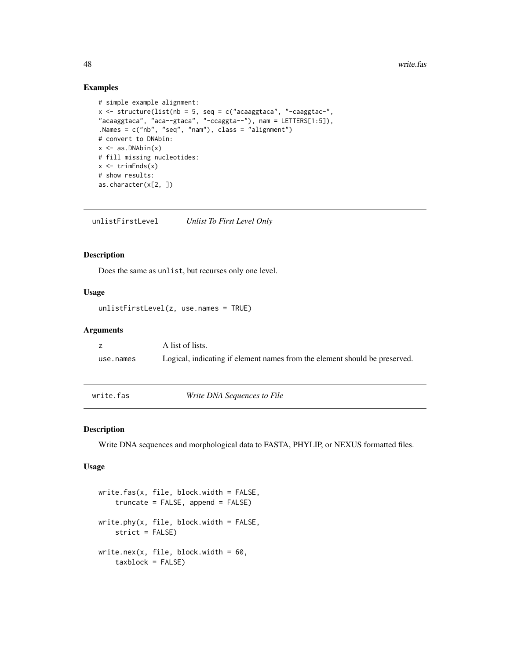# Examples

```
# simple example alignment:
x \le - structure(list(nb = 5, seq = c("acaaggtaca", "-caaggtac-",
"acaaggtaca", "aca--gtaca", "-ccaggta--"), nam = LETTERS[1:5]),
.Names = c("nb", "seq", "nam"), class = "alignment")
# convert to DNAbin:
x \leftarrow as.DNAbin(x)# fill missing nucleotides:
x \le- trimEnds(x)# show results:
as.character(x[2, ])
```
unlistFirstLevel *Unlist To First Level Only*

#### Description

Does the same as unlist, but recurses only one level.

# Usage

```
unlistFirstLevel(z, use.names = TRUE)
```
# Arguments

z A list of lists. use.names Logical, indicating if element names from the element should be preserved.

<span id="page-47-1"></span>write.fas *Write DNA Sequences to File*

#### <span id="page-47-2"></span>Description

Write DNA sequences and morphological data to FASTA, PHYLIP, or NEXUS formatted files.

#### Usage

```
write.fas(x, file, block.width = FALSE,
    truncate = FALSE, append = FALSE)
write. phy(x, file, block.width = FALSE,strict = FALSE)
write.nex(x, file, block.width = 60,
    taxblock = FALSE)
```
<span id="page-47-0"></span>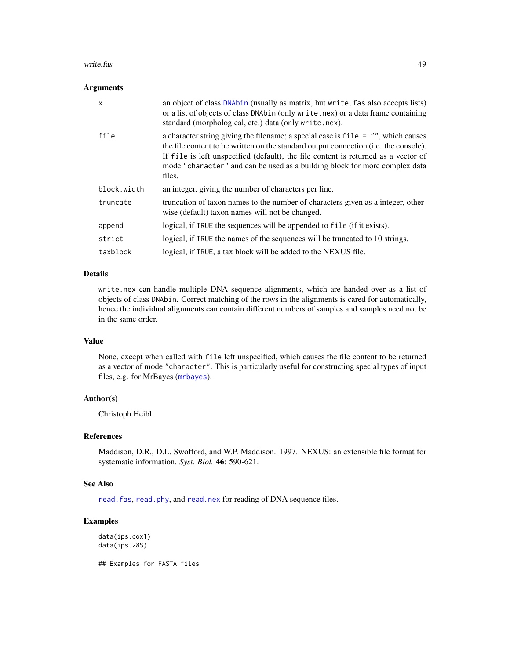#### <span id="page-48-0"></span>write.fas and the set of the set of the set of the set of the set of the set of the set of the set of the set of the set of the set of the set of the set of the set of the set of the set of the set of the set of the set of

#### **Arguments**

| $\mathsf{x}$ | an object of class DNAbin (usually as matrix, but write. fas also accepts lists)<br>or a list of objects of class DNAbin (only write . nex) or a data frame containing<br>standard (morphological, etc.) data (only write.nex).                                                                                                                           |
|--------------|-----------------------------------------------------------------------------------------------------------------------------------------------------------------------------------------------------------------------------------------------------------------------------------------------------------------------------------------------------------|
| file         | a character string giving the filename; a special case is $file = "", which causes$<br>the file content to be written on the standard output connection (i.e. the console).<br>If file is left unspecified (default), the file content is returned as a vector of<br>mode "character" and can be used as a building block for more complex data<br>files. |
| block.width  | an integer, giving the number of characters per line.                                                                                                                                                                                                                                                                                                     |
| truncate     | truncation of taxon names to the number of characters given as a integer, other-<br>wise (default) taxon names will not be changed.                                                                                                                                                                                                                       |
| append       | logical, if TRUE the sequences will be appended to file (if it exists).                                                                                                                                                                                                                                                                                   |
| strict       | logical, if TRUE the names of the sequences will be truncated to 10 strings.                                                                                                                                                                                                                                                                              |
| taxblock     | logical, if TRUE, a tax block will be added to the NEXUS file.                                                                                                                                                                                                                                                                                            |

# Details

write.nex can handle multiple DNA sequence alignments, which are handed over as a list of objects of class DNAbin. Correct matching of the rows in the alignments is cared for automatically, hence the individual alignments can contain different numbers of samples and samples need not be in the same order.

# Value

None, except when called with file left unspecified, which causes the file content to be returned as a vector of mode "character". This is particularly useful for constructing special types of input files, e.g. for MrBayes ([mrbayes](#page-20-1)).

# Author(s)

Christoph Heibl

# References

Maddison, D.R., D.L. Swofford, and W.P. Maddison. 1997. NEXUS: an extensible file format for systematic information. *Syst. Biol.* 46: 590-621.

# See Also

read. fas, [read.phy](#page-39-1), and [read.nex](#page-39-1) for reading of DNA sequence files.

# Examples

data(ips.cox1) data(ips.28S)

## Examples for FASTA files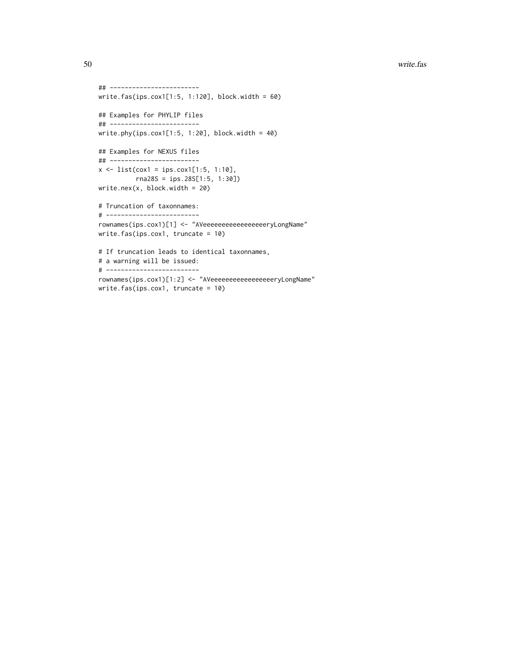```
## ------------------------
write.fas(ips.cox1[1:5, 1:120], block.width = 60)
## Examples for PHYLIP files
## ------------------------
write.phy(ips.cox1[1:5, 1:20], block.width = 40)
## Examples for NEXUS files
## ------------------------
x \le - list(cox1 = ips.cox1[1:5, 1:10],
         rna28S = ips.28S[1:5, 1:30])
write.nex(x, block.width = 20)
# Truncation of taxonnames:
# -------------------------
rownames(ips.cox1)[1] <- "AVeeeeeeeeeeeeeeeeeryLongName"
write.fas(ips.cox1, truncate = 10)
# If truncation leads to identical taxonnames,
# a warning will be issued:
# -------------------------
rownames(ips.cox1)[1:2] <- "AVeeeeeeeeeeeeeeeeeryLongName"
```
write.fas(ips.cox1, truncate = 10)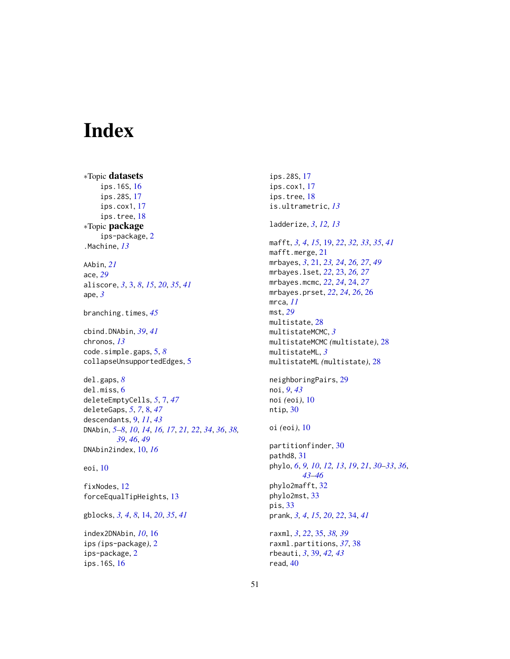# <span id="page-50-0"></span>Index

∗Topic datasets ips.16S, [16](#page-15-0) ips.28S, [17](#page-16-0) ips.cox1, [17](#page-16-0) ips.tree, [18](#page-17-0) ∗Topic package ips-package, [2](#page-1-0) .Machine, *[13](#page-12-0)* AAbin, *[21](#page-20-0)* ace, *[29](#page-28-0)* aliscore, *[3](#page-2-0)*, [3,](#page-2-0) *[8](#page-7-0)*, *[15](#page-14-0)*, *[20](#page-19-0)*, *[35](#page-34-0)*, *[41](#page-40-0)* ape, *[3](#page-2-0)* branching.times, *[45](#page-44-0)* cbind.DNAbin, *[39](#page-38-0)*, *[41](#page-40-0)* chronos, *[13](#page-12-0)* code.simple.gaps, [5,](#page-4-0) *[8](#page-7-0)* collapseUnsupportedEdges, [5](#page-4-0) del.gaps, *[8](#page-7-0)* del.miss, [6](#page-5-0) deleteEmptyCells, *[5](#page-4-0)*, [7,](#page-6-0) *[47](#page-46-0)* deleteGaps, *[5](#page-4-0)*, *[7](#page-6-0)*, [8,](#page-7-0) *[47](#page-46-0)* descendants, [9,](#page-8-0) *[11](#page-10-0)*, *[43](#page-42-0)* DNAbin, *[5](#page-4-0)[–8](#page-7-0)*, *[10](#page-9-0)*, *[14](#page-13-0)*, *[16,](#page-15-0) [17](#page-16-0)*, *[21,](#page-20-0) [22](#page-21-0)*, *[34](#page-33-0)*, *[36](#page-35-0)*, *[38,](#page-37-0) [39](#page-38-0)*, *[46](#page-45-0)*, *[49](#page-48-0)* DNAbin2index, [10,](#page-9-0) *[16](#page-15-0)* eoi, [10](#page-9-0) fixNodes, [12](#page-11-0) forceEqualTipHeights, [13](#page-12-0)

gblocks, *[3,](#page-2-0) [4](#page-3-0)*, *[8](#page-7-0)*, [14,](#page-13-0) *[20](#page-19-0)*, *[35](#page-34-0)*, *[41](#page-40-0)*

index2DNAbin, *[10](#page-9-0)*, [16](#page-15-0) ips *(*ips-package*)*, [2](#page-1-0) ips-package, [2](#page-1-0) ips.16S, [16](#page-15-0)

ips.28S, [17](#page-16-0) ips.cox1, [17](#page-16-0) ips.tree, [18](#page-17-0) is.ultrametric, *[13](#page-12-0)* ladderize, *[3](#page-2-0)*, *[12,](#page-11-0) [13](#page-12-0)* mafft, *[3,](#page-2-0) [4](#page-3-0)*, *[15](#page-14-0)*, [19,](#page-18-0) *[22](#page-21-0)*, *[32,](#page-31-0) [33](#page-32-0)*, *[35](#page-34-0)*, *[41](#page-40-0)* mafft.merge, [21](#page-20-0) mrbayes, *[3](#page-2-0)*, [21,](#page-20-0) *[23,](#page-22-0) [24](#page-23-0)*, *[26,](#page-25-0) [27](#page-26-0)*, *[49](#page-48-0)* mrbayes.lset, *[22](#page-21-0)*, [23,](#page-22-0) *[26,](#page-25-0) [27](#page-26-0)* mrbayes.mcmc, *[22](#page-21-0)*, *[24](#page-23-0)*, [24,](#page-23-0) *[27](#page-26-0)* mrbayes.prset, *[22](#page-21-0)*, *[24](#page-23-0)*, *[26](#page-25-0)*, [26](#page-25-0) mrca, *[11](#page-10-0)* mst, *[29](#page-28-0)* multistate, [28](#page-27-0) multistateMCMC, *[3](#page-2-0)* multistateMCMC *(*multistate*)*, [28](#page-27-0) multistateML, *[3](#page-2-0)* multistateML *(*multistate*)*, [28](#page-27-0) neighboringPairs, [29](#page-28-0) noi, *[9](#page-8-0)*, *[43](#page-42-0)* noi *(*eoi*)*, [10](#page-9-0) ntip, [30](#page-29-0) oi *(*eoi*)*, [10](#page-9-0) partitionfinder, [30](#page-29-0) pathd8, [31](#page-30-0) phylo, *[6](#page-5-0)*, *[9,](#page-8-0) [10](#page-9-0)*, *[12,](#page-11-0) [13](#page-12-0)*, *[19](#page-18-0)*, *[21](#page-20-0)*, *[30](#page-29-0)[–33](#page-32-0)*, *[36](#page-35-0)*, *[43](#page-42-0)[–46](#page-45-0)* phylo2mafft, [32](#page-31-0) phylo2mst, [33](#page-32-0) pis, [33](#page-32-0) prank, *[3,](#page-2-0) [4](#page-3-0)*, *[15](#page-14-0)*, *[20](#page-19-0)*, *[22](#page-21-0)*, [34,](#page-33-0) *[41](#page-40-0)* raxml, *[3](#page-2-0)*, *[22](#page-21-0)*, [35,](#page-34-0) *[38,](#page-37-0) [39](#page-38-0)* raxml.partitions, *[37](#page-36-0)*, [38](#page-37-0) rbeauti, *[3](#page-2-0)*, [39,](#page-38-0) *[42,](#page-41-0) [43](#page-42-0)* read, [40](#page-39-0)